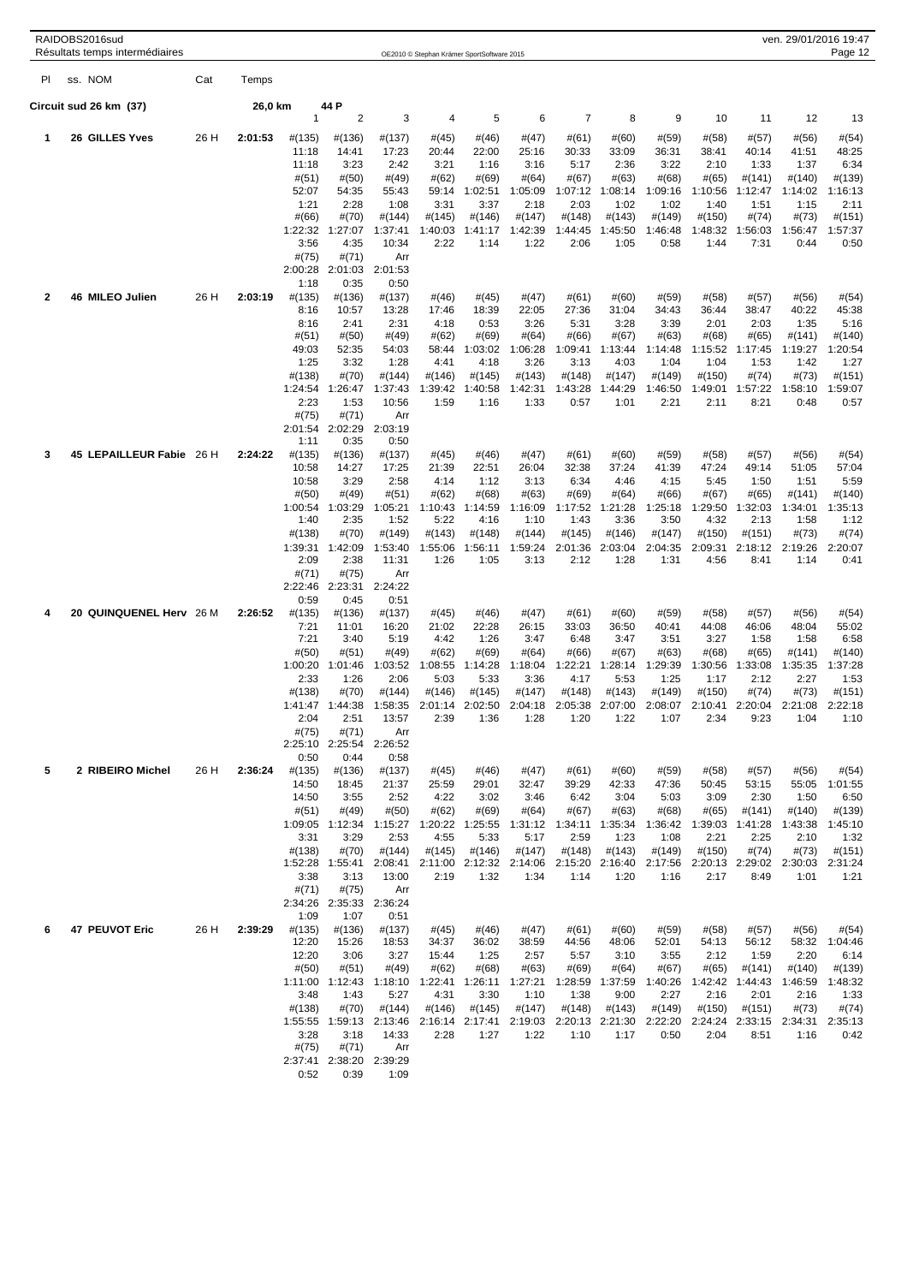|     | RAIDOBS2016sud<br>Résultats temps intermédiaires |      |         |                          |                          |                        | OE2010 © Stephan Krämer SportSoftware 2015 |                          |                          |                           |                           |                          |                          |                           | ven. 29/01/2016 19:47     | Page 12                   |
|-----|--------------------------------------------------|------|---------|--------------------------|--------------------------|------------------------|--------------------------------------------|--------------------------|--------------------------|---------------------------|---------------------------|--------------------------|--------------------------|---------------------------|---------------------------|---------------------------|
| PI. | ss. NOM                                          | Cat  | Temps   |                          |                          |                        |                                            |                          |                          |                           |                           |                          |                          |                           |                           |                           |
|     | Circuit sud 26 km (37)                           |      | 26,0 km |                          | 44 P<br>$\overline{2}$   |                        |                                            |                          |                          | $\overline{7}$            |                           |                          |                          |                           |                           |                           |
| 1   | <b>26 GILLES Yves</b>                            | 26 H | 2:01:53 | 1<br>#(135)<br>11:18     | #(136)<br>14:41          | 3<br>#(137)<br>17:23   | 4<br>#(45)<br>20:44                        | 5<br>#(46)<br>22:00      | 6<br>#(47)<br>25:16      | #(61)<br>30:33            | 8<br>#(60)<br>33:09       | 9<br>#(59)<br>36:31      | 10<br>#(58)<br>38:41     | 11<br>#(57)<br>40:14      | 12<br>#(56)<br>41:51      | 13<br>#(54)<br>48:25      |
|     |                                                  |      |         | 11:18<br>#(51)<br>52:07  | 3:23<br>#(50)<br>54:35   | 2:42<br>#(49)<br>55:43 | 3:21<br>#(62)<br>59:14                     | 1:16<br>#(69)<br>1:02:51 | 3:16<br>#(64)<br>1:05:09 | 5:17<br># (67)<br>1:07:12 | 2:36<br># (63)<br>1:08:14 | 3:22<br>#(68)<br>1:09:16 | 2:10<br>#(65)<br>1:10:56 | 1:33<br>#(141)<br>1:12:47 | 1:37<br>#(140)<br>1:14:02 | 6:34<br>#(139)<br>1:16:13 |
|     |                                                  |      |         | 1:21<br>#(66)            | 2:28<br>#(70)            | 1:08<br>#(144)         | 3:31<br>#(145)                             | 3:37<br>#(146)           | 2:18<br>#(147)           | 2:03<br>#(148)            | 1:02<br>#(143)            | 1:02<br>#(149)           | 1:40<br>#(150)           | 1:51<br>#(74)             | 1:15<br>#(73)             | 2:11<br>#(151)            |
|     |                                                  |      |         | 1:22:32<br>3:56          | 1:27:07<br>4:35          | 1:37:41<br>10:34       | 1:40:03<br>2:22                            | 1:41:17<br>1:14          | 1:42:39<br>1:22          | 1:44:45<br>2:06           | 1:45:50<br>1:05           | 1:46:48<br>0:58          | 1:48:32<br>1:44          | 1:56:03<br>7:31           | 1:56:47<br>0:44           | 1:57:37<br>0:50           |
|     |                                                  |      |         | #(75)<br>2:00:28<br>1:18 | #(71)<br>2:01:03<br>0:35 | Arr<br>2:01:53<br>0:50 |                                            |                          |                          |                           |                           |                          |                          |                           |                           |                           |
| 2   | 46 MILEO Julien                                  | 26 H | 2:03:19 | #(135)<br>8:16           | #(136)<br>10:57          | #(137)<br>13:28        | #(46)<br>17:46                             | #(45)<br>18:39           | #(47)<br>22:05           | #(61)<br>27:36            | #(60)<br>31:04            | #(59)<br>34:43           | #(58)<br>36:44           | #(57)<br>38:47            | $\#(56)$<br>40:22         | #(54)<br>45:38            |
|     |                                                  |      |         | 8:16<br>#(51)            | 2:41<br>#(50)            | 2:31<br>#(49)          | 4:18<br>#(62)                              | 0:53<br>#(69)            | 3:26<br>#(64)            | 5:31<br>#(66)             | 3:28<br>#(67)             | 3:39<br>#(63)            | 2:01<br>#(68)            | 2:03<br>$\#(65)$          | 1:35<br>#(141)            | 5:16<br>#(140)            |
|     |                                                  |      |         | 49:03<br>1:25            | 52:35<br>3:32            | 54:03<br>1:28          | 58:44<br>4:41                              | 1:03:02<br>4:18          | 1:06:28<br>3:26          | 1:09:41<br>3:13           | 1:13:44<br>4:03           | 1:14:48<br>1:04          | 1:15:52<br>1:04          | 1:17:45<br>1:53           | 1:19:27<br>1:42           | 1:20:54<br>1:27           |
|     |                                                  |      |         | #(138)                   | #(70)                    | #(144)                 | #(146)                                     | #(145)                   | #(143)                   | #(148)                    | #(147)                    | #(149)                   | #(150)                   | #(74)                     | #(73)                     | #(151)                    |
|     |                                                  |      |         | 1:24:54<br>2:23          | 1:26:47<br>1:53          | 1:37:43<br>10:56       | 1:39:42<br>1:59                            | 1:40:58<br>1:16          | 1:42:31<br>1:33          | 1:43:28<br>0:57           | 1:44:29<br>1:01           | 1:46:50<br>2:21          | 1:49:01<br>2:11          | 1:57:22<br>8:21           | 1:58:10<br>0:48           | 1:59:07<br>0:57           |
|     |                                                  |      |         | #(75)<br>2:01:54         | #(71)<br>2:02:29         | Arr<br>2:03:19         |                                            |                          |                          |                           |                           |                          |                          |                           |                           |                           |
| 3   | 45 LEPAILLEUR Fabie 26 H                         |      | 2:24:22 | 1:11<br>#(135)           | 0:35<br>#(136)           | 0:50<br>#(137)         | #(45)                                      | #(46)                    | #(47)                    | # (61)                    | #(60)                     | #(59)                    | #(58)                    | #(57)                     | #(56)                     | #(54)                     |
|     |                                                  |      |         | 10:58<br>10:58           | 14:27<br>3:29            | 17:25<br>2:58          | 21:39<br>4:14                              | 22:51<br>1:12            | 26:04<br>3:13            | 32:38<br>6:34             | 37:24<br>4:46             | 41:39<br>4:15            | 47:24<br>5:45            | 49:14<br>1:50             | 51:05<br>1:51             | 57:04<br>5:59             |
|     |                                                  |      |         | #(50)<br>1:00:54         | #(49)<br>1:03:29         | #(51)<br>1:05:21       | #(62)<br>1:10:43                           | #(68)<br>1:14:59         | # (63)<br>1:16:09        | #(69)<br>1:17:52          | #(64)<br>1:21:28          | #(66)<br>1:25:18         | #(67)<br>1:29:50         | #(65)<br>1:32:03          | #(141)<br>1:34:01         | #(140)<br>1:35:13         |
|     |                                                  |      |         | 1:40                     | 2:35                     | 1:52                   | 5:22                                       | 4:16                     | 1:10                     | 1:43                      | 3:36                      | 3:50                     | 4:32                     | 2:13                      | 1:58                      | 1:12                      |
|     |                                                  |      |         | #(138)<br>1:39:31        | #(70)<br>1:42:09         | #(149)<br>1:53:40      | #(143)<br>1:55:06                          | #(148)<br>1:56:11        | #(144)<br>1:59:24        | #(145)<br>2:01:36         | #(146)<br>2:03:04         | #(147)<br>2:04:35        | #(150)<br>2:09:31        | #(151)<br>2:18:12         | #(73)<br>2:19:26          | #(74)<br>2:20:07          |
|     |                                                  |      |         | 2:09<br>#(71)            | 2:38<br>#(75)            | 11:31<br>Arr           | 1:26                                       | 1:05                     | 3:13                     | 2:12                      | 1:28                      | 1:31                     | 4:56                     | 8:41                      | 1:14                      | 0:41                      |
|     |                                                  |      |         | 2:22:46<br>0:59          | 2:23:31<br>0:45          | 2:24:22<br>0:51        |                                            |                          |                          |                           |                           |                          |                          |                           |                           |                           |
| 4   | 20 QUINQUENEL Herv  26 M                         |      | 2:26:52 | #(135)<br>7:21           | #(136)                   | #(137)                 | $\#(45)$                                   | #(46)                    | #(47)                    | # (61)                    | #(60)                     | #(59)                    | #(58)                    | #(57)                     | #(56)                     | #(54)<br>55:02            |
|     |                                                  |      |         | 7:21                     | 11:01<br>3:40            | 16:20<br>5:19          | 21:02<br>4:42                              | 22:28<br>1:26            | 26:15<br>3:47            | 33:03<br>6:48             | 36:50<br>3:47             | 40:41<br>3:51            | 44:08<br>3:27            | 46:06<br>1:58             | 48:04<br>1:58             | 6:58                      |
|     |                                                  |      |         | #(50)<br>1:00:20         | #(51)<br>1:01:46         | #(49)<br>1:03:52       | #(62)<br>1:08:55                           | #(69)<br>1:14:28         | #(64)<br>1:18:04         | #(66)<br>1:22:21          | #(67)<br>1:28:14          | #(63)<br>1:29:39         | #(68)<br>1:30:56         | $\#(65)$<br>1:33:08       | #(141)<br>1:35:35         | #(140)<br>1:37:28         |
|     |                                                  |      |         | 2:33<br>#(138)           | 1:26<br>#(70)            | 2:06<br>#(144)         | 5:03<br>#(146)                             | 5:33<br>#(145)           | 3:36<br>#(147)           | 4:17<br>#(148)            | 5:53<br>#(143)            | 1:25<br>#(149)           | 1:17<br>#(150)           | 2:12<br>#(74)             | 2:27<br>#(73)             | 1:53<br>#(151)            |
|     |                                                  |      |         | 2:04                     | 1:41:47 1:44:38<br>2:51  | 1:58:35<br>13:57       | 2:01:14<br>2:39                            | 2:02:50<br>1:36          | 2:04:18<br>1:28          | 2:05:38<br>1:20           | 2:07:00<br>1:22           | 2:08:07<br>1:07          | 2:10:41<br>2:34          | 9:23                      | 2:20:04 2:21:08<br>1:04   | 2:22:18                   |
|     |                                                  |      |         | $\#(75)$                 | #(71)                    | Arr                    |                                            |                          |                          |                           |                           |                          |                          |                           |                           |                           |
|     |                                                  |      |         | 2:25:10<br>0:50          | 2:25:54<br>0:44          | 2:26:52<br>0:58        |                                            |                          |                          |                           |                           |                          |                          |                           |                           |                           |
| 5   | 2 RIBEIRO Michel                                 | 26 H | 2:36:24 | #(135)<br>14:50          | #(136)<br>18:45          | #(137)<br>21:37        | #(45)<br>25:59                             | #(46)<br>29:01           | #(47)<br>32:47           | #(61)<br>39:29            | #(60)<br>42:33            | #(59)<br>47:36           | #(58)<br>50:45           | #(57)<br>53:15            | #(56)<br>55:05            | #(54)<br>1:01:55          |
|     |                                                  |      |         | 14:50<br>#(51)           | 3:55<br>#(49)            | 2:52<br>#(50)          | 4:22<br>#(62)                              | 3:02<br>#(69)            | 3:46<br>#(64)            | 6:42<br># (67)            | 3:04<br>#(63)             | 5:03<br>#(68)            | 3:09<br>#(65)            | 2:30<br>#(141)            | 1:50<br>#(140)            | 6:50<br>#(139)            |
|     |                                                  |      |         | 1:09:05                  | 1:12:34                  | 1:15:27<br>2:53        | 1:20:22<br>4:55                            | 1:25:55                  | 1:31:12                  | 1:34:11                   | 1:35:34                   | 1:36:42                  | 1:39:03                  | 1:41:28                   | 1:43:38                   | 1:45:10                   |
|     |                                                  |      |         | 3:31<br>#(138)           | 3:29<br>#(70)            | #(144)                 | #(145)                                     | 5:33<br>#(146)           | 5:17<br>#(147)           | 2:59<br>#(148)            | 1:23<br>#(143)            | 1:08<br>#(149)           | 2:21<br>#(150)           | 2:25<br>#(74)             | 2:10<br>#(73)             | 1:32<br>$\#(151)$         |
|     |                                                  |      |         | 1:52:28<br>3:38          | 1:55:41<br>3:13          | 2:08:41<br>13:00       | 2:11:00<br>2:19                            | 2:12:32<br>1:32          | 2:14:06<br>1:34          | 2:15:20<br>1:14           | 2:16:40<br>1:20           | 2:17:56<br>1:16          | 2:20:13<br>2:17          | 2:29:02<br>8:49           | 2:30:03<br>1:01           | 2:31:24<br>1:21           |
|     |                                                  |      |         | #(71)<br>2:34:26<br>1:09 | #(75)<br>2:35:33<br>1:07 | Arr<br>2:36:24<br>0:51 |                                            |                          |                          |                           |                           |                          |                          |                           |                           |                           |
| 6   | 47 PEUVOT Eric                                   | 26 H | 2:39:29 | #(135)                   | #(136)                   | #(137)                 | #(45)                                      | #(46)                    | #(47)                    | # (61)                    | #(60)                     | #(59)                    | #(58)                    | #(57)                     | #(56)                     | #(54)                     |
|     |                                                  |      |         | 12:20<br>12:20           | 15:26<br>3:06            | 18:53<br>3:27          | 34:37<br>15:44                             | 36:02<br>1:25            | 38:59<br>2:57            | 44:56<br>5:57             | 48:06<br>3:10             | 52:01<br>3:55            | 54:13<br>2:12            | 56:12<br>1:59             | 2:20                      | 58:32 1:04:46<br>6:14     |
|     |                                                  |      |         | #(50)<br>1:11:00         | #(51)<br>1:12:43         | #(49)<br>1:18:10       | #(62)<br>1:22:41                           | #(68)<br>1:26:11         | #(63)<br>1:27:21         | #(69)<br>1:28:59          | #(64)<br>1:37:59          | #(67)<br>1:40:26         | #(65)<br>1:42:42         | #(141)<br>1:44:43         | #(140)<br>1:46:59         | #(139)<br>1:48:32         |
|     |                                                  |      |         | 3:48<br>#(138)           | 1:43<br>#(70)            | 5:27<br>#(144)         | 4:31<br>#(146)                             | 3:30<br>#(145)           | 1:10<br>#(147)           | 1:38<br>#(148)            | 9:00<br>#(143)            | 2:27<br>#(149)           | 2:16<br>#(150)           | 2:01<br>#(151)            | 2:16<br>#(73)             | 1:33<br>#(74)             |
|     |                                                  |      |         | 1:55:55<br>3:28          | 1:59:13<br>3:18          | 2:13:46<br>14:33       | 2:16:14<br>2:28                            | 2:17:41<br>1:27          | 2:19:03<br>1:22          | 2:20:13<br>1:10           | 2:21:30<br>1:17           | 2:22:20<br>0:50          | 2:24:24<br>2:04          | 2:33:15<br>8:51           | 2:34:31<br>1:16           | 2:35:13<br>0:42           |
|     |                                                  |      |         | #(75)                    | #(71)                    | Arr                    |                                            |                          |                          |                           |                           |                          |                          |                           |                           |                           |
|     |                                                  |      |         | 0:52                     | 2:37:41 2:38:20<br>0:39  | 2:39:29<br>1:09        |                                            |                          |                          |                           |                           |                          |                          |                           |                           |                           |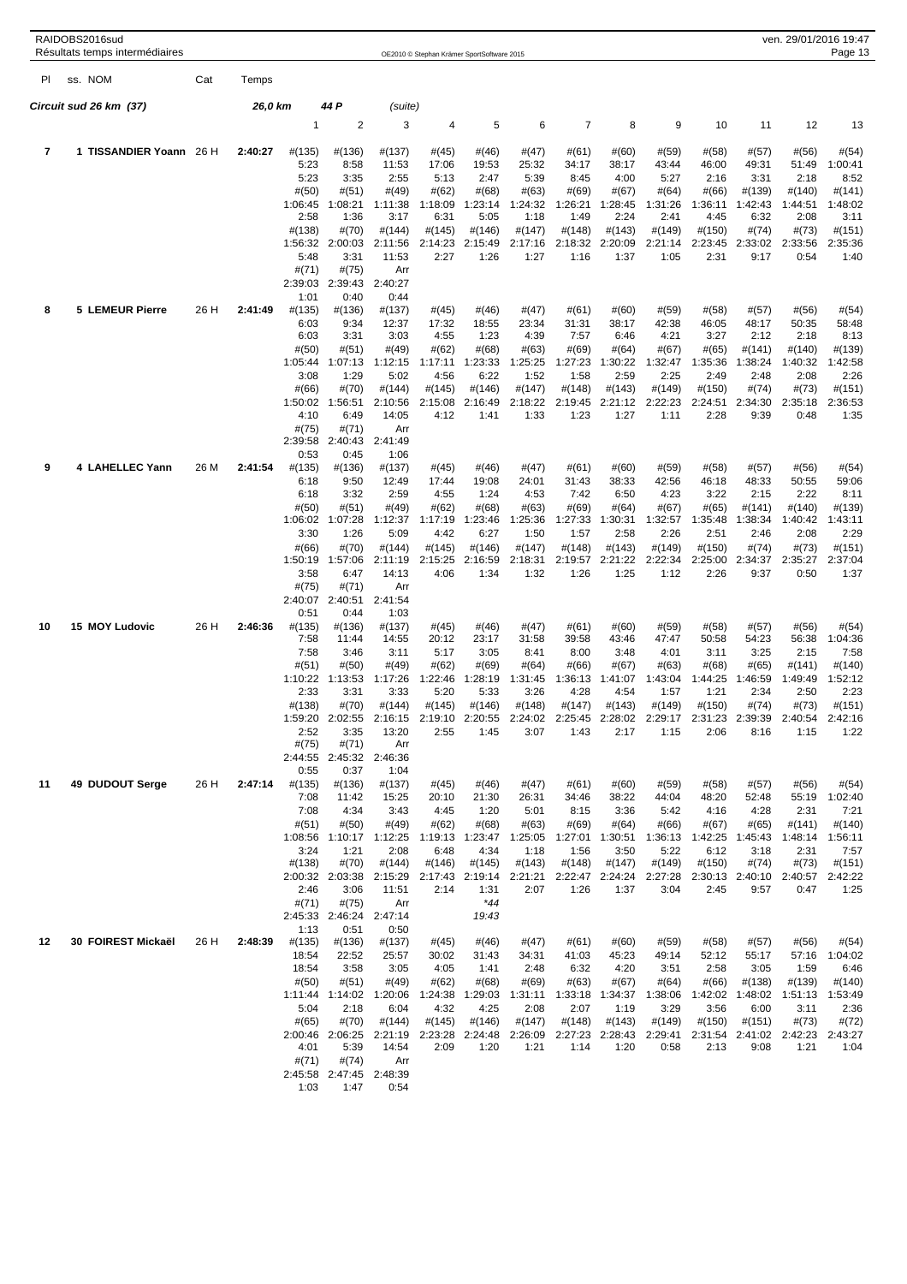| RAIDOBS2016sud<br>ven. 29/01/2016 19:47<br>Résultats temps intermédiaires<br>OE2010 © Stephan Krämer SportSoftware 2015 |                         |      |         |                   |                          |                   |                   |                   |                   |                         |                   | Page 13           |                   |                   |                          |                   |
|-------------------------------------------------------------------------------------------------------------------------|-------------------------|------|---------|-------------------|--------------------------|-------------------|-------------------|-------------------|-------------------|-------------------------|-------------------|-------------------|-------------------|-------------------|--------------------------|-------------------|
| PI                                                                                                                      | ss. NOM                 | Cat  | Temps   |                   |                          |                   |                   |                   |                   |                         |                   |                   |                   |                   |                          |                   |
|                                                                                                                         |                         |      |         |                   |                          |                   |                   |                   |                   |                         |                   |                   |                   |                   |                          |                   |
|                                                                                                                         | Circuit sud 26 km (37)  |      | 26,0 km | $\mathbf{1}$      | 44 P<br>2                | (suite)<br>3      | 4                 | 5                 | 6                 | 7                       | 8                 | 9                 | 10                | 11                | 12                       | 13                |
|                                                                                                                         |                         |      |         |                   |                          |                   |                   |                   |                   |                         |                   |                   |                   |                   |                          |                   |
| 7                                                                                                                       | 1 TISSANDIER Yoann 26 H |      | 2:40:27 | #(135)<br>5:23    | #(136)<br>8:58           | #(137)<br>11:53   | #(45)<br>17:06    | #(46)<br>19:53    | #(47)<br>25:32    | #(61)<br>34:17          | #(60)<br>38:17    | #(59)<br>43:44    | #(58)<br>46:00    | #(57)<br>49:31    | #(56)<br>51:49           | #(54)<br>1:00:41  |
|                                                                                                                         |                         |      |         | 5:23<br>#(50)     | 3:35<br>#(51)            | 2:55<br>#(49)     | 5:13<br>#(62)     | 2:47<br>#(68)     | 5:39<br>#(63)     | 8:45<br>#(69)           | 4:00<br>#(67)     | 5:27<br>#(64)     | 2:16<br>#(66)     | 3:31<br>#(139)    | 2:18<br>#(140)           | 8:52<br>#(141)    |
|                                                                                                                         |                         |      |         | 1:06:45           | 1:08:21                  | 1:11:38           | 1:18:09           | 1:23:14           | 1:24:32           | 1:26:21                 | 1:28:45           | 1:31:26           | 1:36:11           | 1:42:43           | 1:44:51                  | 1:48:02           |
|                                                                                                                         |                         |      |         | 2:58<br>#(138)    | 1:36<br>#(70)            | 3:17<br>#(144)    | 6:31<br>#(145)    | 5:05<br>#(146)    | 1:18<br>#(147)    | 1:49<br>#(148)          | 2:24<br>#(143)    | 2:41<br>#(149)    | 4:45<br>#(150)    | 6:32<br>#(74)     | 2:08<br>#(73)            | 3:11<br>#(151)    |
|                                                                                                                         |                         |      |         | 1:56:32<br>5:48   | 2:00:03<br>3:31          | 2:11:56<br>11:53  | 2:14:23<br>2:27   | 2:15:49<br>1:26   | 2:17:16<br>1:27   | 2:18:32<br>1:16         | 2:20:09<br>1:37   | 2:21:14<br>1:05   | 2:23:45<br>2:31   | 2:33:02<br>9:17   | 2:33:56<br>0:54          | 2:35:36<br>1:40   |
|                                                                                                                         |                         |      |         | #(71)             | #(75)                    | Arr               |                   |                   |                   |                         |                   |                   |                   |                   |                          |                   |
|                                                                                                                         |                         |      |         | 2:39:03<br>1:01   | 2:39:43<br>0:40          | 2:40:27<br>0:44   |                   |                   |                   |                         |                   |                   |                   |                   |                          |                   |
| 8                                                                                                                       | <b>5 LEMEUR Pierre</b>  | 26 H | 2:41:49 | #(135)<br>6:03    | #(136)<br>9:34           | #(137)<br>12:37   | #(45)<br>17:32    | #(46)<br>18:55    | #(47)<br>23:34    | #(61)<br>31:31          | #(60)<br>38:17    | #(59)<br>42:38    | #(58)<br>46:05    | #(57)<br>48:17    | #(56)<br>50:35           | #(54)<br>58:48    |
|                                                                                                                         |                         |      |         | 6:03              | 3:31                     | 3:03              | 4:55              | 1:23              | 4:39              | 7:57                    | 6:46              | 4:21              | 3:27              | 2:12              | 2:18                     | 8:13              |
|                                                                                                                         |                         |      |         | #(50)<br>1:05:44  | #(51)<br>1:07:13         | #(49)<br>1:12:15  | #(62)<br>1:17:11  | #(68)<br>1:23:33  | #(63)<br>1:25:25  | #(69)<br>1:27:23        | #(64)<br>1:30:22  | # (67)<br>1:32:47 | #(65)<br>1:35:36  | #(141)<br>1:38:24 | #(140)<br>1:40:32        | #(139)<br>1:42:58 |
|                                                                                                                         |                         |      |         | 3:08<br>#(66)     | 1:29<br>#(70)            | 5:02<br>#(144)    | 4:56<br>#(145)    | 6:22<br>#(146)    | 1:52<br>#(147)    | 1:58<br>#(148)          | 2:59<br>#(143)    | 2:25<br>#(149)    | 2:49<br>#(150)    | 2:48<br>#(74)     | 2:08<br>#(73)            | 2:26<br>#(151)    |
|                                                                                                                         |                         |      |         | 1:50:02           | 1:56:51                  | 2:10:56           | 2:15:08           | 2:16:49           | 2:18:22           | 2:19:45                 | 2:21:12           | 2:22:23           | 2:24:51           | 2:34:30           | 2:35:18                  | 2:36:53           |
|                                                                                                                         |                         |      |         | 4:10<br>#(75)     | 6:49<br>#(71)            | 14:05<br>Arr      | 4:12              | 1:41              | 1:33              | 1:23                    | 1:27              | 1:11              | 2:28              | 9:39              | 0:48                     | 1:35              |
|                                                                                                                         |                         |      |         | 2:39:58<br>0:53   | 2:40:43<br>0:45          | 2:41:49<br>1:06   |                   |                   |                   |                         |                   |                   |                   |                   |                          |                   |
| 9                                                                                                                       | 4 LAHELLEC Yann         | 26 M | 2:41:54 | #(135)            | #(136)                   | #(137)            | #(45)             | #(46)             | #(47)             | # (61)                  | #(60)             | #(59)             | $\#(58)$          | #(57)             | #(56)                    | #(54)             |
|                                                                                                                         |                         |      |         | 6:18<br>6:18      | 9:50<br>3:32             | 12:49<br>2:59     | 17:44<br>4:55     | 19:08<br>1:24     | 24:01<br>4:53     | 31:43<br>7:42           | 38:33<br>6:50     | 42:56<br>4:23     | 46:18<br>3:22     | 48:33<br>2:15     | 50:55<br>2:22            | 59:06<br>8:11     |
|                                                                                                                         |                         |      |         | #(50)<br>1:06:02  | #(51)<br>1:07:28         | #(49)<br>1:12:37  | #(62)<br>1:17:19  | #(68)<br>1:23:46  | #(63)<br>1:25:36  | #(69)<br>1:27:33        | #(64)<br>1:30:31  | # (67)<br>1:32:57 | #(65)<br>1:35:48  | #(141)<br>1:38:34 | #(140)<br>1:40:42        | #(139)<br>1:43:11 |
|                                                                                                                         |                         |      |         | 3:30              | 1:26                     | 5:09              | 4:42              | 6:27              | 1:50              | 1:57                    | 2:58              | 2:26              | 2:51              | 2:46              | 2:08                     | 2:29              |
|                                                                                                                         |                         |      |         | #(66)<br>1:50:19  | #(70)<br>1:57:06         | #(144)<br>2:11:19 | #(145)<br>2:15:25 | #(146)<br>2:16:59 | #(147)<br>2:18:31 | #(148)<br>2:19:57       | #(143)<br>2:21:22 | #(149)<br>2:22:34 | #(150)<br>2:25:00 | #(74)<br>2:34:37  | #(73)<br>2:35:27         | #(151)<br>2:37:04 |
|                                                                                                                         |                         |      |         | 3:58<br>#(75)     | 6:47<br>#(71)            | 14:13<br>Arr      | 4:06              | 1:34              | 1:32              | 1:26                    | 1:25              | 1:12              | 2:26              | 9:37              | 0:50                     | 1:37              |
|                                                                                                                         |                         |      |         | 2:40:07           | 2:40:51                  | 2:41:54           |                   |                   |                   |                         |                   |                   |                   |                   |                          |                   |
| 10                                                                                                                      | 15 MOY Ludovic          | 26 H | 2:46:36 | 0:51<br>#(135)    | 0:44<br>#(136)           | 1:03<br>#(137)    | #(45)             | #(46)             | #(47)             | #(61)                   | #(60)             | #(59)             | #(58)             | #(57)             | #(56)                    | #(54)             |
|                                                                                                                         |                         |      |         | 7:58<br>7:58      | 11:44<br>3:46            | 14:55<br>3:11     | 20:12<br>5:17     | 23:17<br>3:05     | 31:58<br>8:41     | 39:58<br>8:00           | 43:46<br>3:48     | 47:47<br>4:01     | 50:58<br>3:11     | 54:23<br>3:25     | 56:38<br>2:15            | 1:04:36<br>7:58   |
|                                                                                                                         |                         |      |         | #(51)<br>1:10:22  | #(50)<br>1:13:53         | #(49)<br>1:17:26  | #(62)<br>1:22:46  | #(69)<br>1:28:19  | #(64)<br>1:31:45  | #(66)<br>1:36:13        | # (67)<br>1:41:07 | #(63)<br>1:43:04  | #(68)<br>1:44:25  | #(65)<br>1:46:59  | #(141)<br>1:49:49        | #(140)<br>1:52:12 |
|                                                                                                                         |                         |      |         | 2:33              | 3:31                     | 3:33              | 5:20              | 5:33              | 3:26              | 4:28                    | 4:54              | 1:57              | 1:21              | 2:34              | 2:50                     | 2:23              |
|                                                                                                                         |                         |      |         | #(138)<br>1:59:20 | #(70)<br>2:02:55         | #(144)<br>2:16:15 | #(145)<br>2:19:10 | #(146)<br>2:20:55 | #(148)<br>2:24:02 | #(147)<br>2:25:45       | #(143)<br>2:28:02 | #(149)<br>2:29:17 | #(150)<br>2:31:23 | #(74)<br>2:39:39  | #(73)<br>2:40:54         | #(151)<br>2:42:16 |
|                                                                                                                         |                         |      |         | 2:52<br>#(75)     | 3:35<br>#(71)            | 13:20<br>Arr      | 2:55              | 1:45              | 3:07              | 1:43                    | 2:17              | 1:15              | 2:06              | 8:16              | 1:15                     | 1:22              |
|                                                                                                                         |                         |      |         | 2:44:55           | 2:45:32                  | 2:46:36           |                   |                   |                   |                         |                   |                   |                   |                   |                          |                   |
| 11                                                                                                                      | 49 DUDOUT Serge         | 26 H | 2:47:14 | 0:55<br>#(135)    | 0:37<br>#(136)           | 1:04<br>#(137)    | #(45)             | #(46)             | #(47)             | #(61)                   | #(60)             | #(59)             | #(58)             | #(57)             | #(56)                    | #(54)             |
|                                                                                                                         |                         |      |         | 7:08<br>7:08      | 11:42<br>4:34            | 15:25<br>3:43     | 20:10<br>4:45     | 21:30<br>1:20     | 26:31<br>5:01     | 34:46<br>8:15           | 38:22<br>3:36     | 44:04<br>5:42     | 48:20<br>4:16     | 52:48<br>4:28     | 55:19<br>2:31            | 1:02:40<br>7:21   |
|                                                                                                                         |                         |      |         | #(51)             | #(50)                    | #(49)             | #(62)             | #(68)             | #(63)             | #(69)                   | #(64)             | #(66)             | # (67)            | #(65)             | #(141)                   | #(140)            |
|                                                                                                                         |                         |      |         | 1:08:56<br>3:24   | 1:10:17<br>1:21          | 1:12:25<br>2:08   | 1:19:13<br>6:48   | 1:23:47<br>4:34   | 1:25:05<br>1:18   | 1:27:01 1:30:51<br>1:56 | 3:50              | 1:36:13<br>5:22   | 1:42:25<br>6:12   | 1:45:43<br>3:18   | 1:48:14<br>2:31          | 1:56:11<br>7:57   |
|                                                                                                                         |                         |      |         | #(138)<br>2:00:32 | #(70)<br>2:03:38         | #(144)<br>2:15:29 | #(146)<br>2:17:43 | #(145)<br>2:19:14 | #(143)<br>2:21:21 | #(148)<br>2:22:47       | #(147)<br>2:24:24 | #(149)<br>2:27:28 | #(150)<br>2:30:13 | #(74)<br>2:40:10  | #(73)<br>2:40:57         | #(151)<br>2:42:22 |
|                                                                                                                         |                         |      |         | 2:46              | 3:06                     | 11:51             | 2:14              | 1:31              | 2:07              | 1:26                    | 1:37              | 3:04              | 2:45              | 9:57              | 0:47                     | 1:25              |
|                                                                                                                         |                         |      |         | #(71)<br>2:45:33  | #(75)<br>2:46:24         | Arr<br>2:47:14    |                   | $*44$<br>19:43    |                   |                         |                   |                   |                   |                   |                          |                   |
| 12                                                                                                                      | 30 FOIREST Mickaël      | 26 H | 2:48:39 | 1:13<br>#(135)    | 0:51<br>#(136)           | 0:50<br>#(137)    | #(45)             | #(46)             | #(47)             | #(61)                   | #(60)             | #(59)             | #(58)             | #(57)             | #(56)                    | #(54)             |
|                                                                                                                         |                         |      |         | 18:54             | 22:52                    | 25:57             | 30:02             | 31:43             | 34:31             | 41:03                   | 45:23             | 49:14             | 52:12             | 55:17             | 57:16                    | 1:04:02           |
|                                                                                                                         |                         |      |         | 18:54<br>#(50)    | 3:58<br>#(51)            | 3:05<br>#(49)     | 4:05<br>#(62)     | 1:41<br>#(68)     | 2:48<br>#(69)     | 6:32<br># (63)          | 4:20<br># (67)    | 3:51<br>#(64)     | 2:58<br>#(66)     | 3:05<br>#(138)    | 1:59<br>#(139)           | 6:46<br>#(140)    |
|                                                                                                                         |                         |      |         | 1:11:44<br>5:04   | 1:14:02<br>2:18          | 1:20:06<br>6:04   | 1:24:38<br>4:32   | 1:29:03<br>4:25   | 1:31:11<br>2:08   | 1:33:18<br>2:07         | 1:34:37<br>1:19   | 1:38:06<br>3:29   | 1:42:02<br>3:56   | 1:48:02<br>6:00   | 1:51:13<br>3:11          | 1:53:49<br>2:36   |
|                                                                                                                         |                         |      |         | #(65)<br>2:00:46  | #(70)<br>2:06:25         | #(144)<br>2:21:19 | #(145)<br>2:23:28 | #(146)<br>2:24:48 | #(147)<br>2:26:09 | #(148)<br>2:27:23       | #(143)<br>2:28:43 | #(149)<br>2:29:41 | #(150)<br>2:31:54 | #(151)<br>2:41:02 | #(73)<br>2:42:23 2:43:27 | #(72)             |
|                                                                                                                         |                         |      |         | 4:01              | 5:39                     | 14:54             | 2:09              | 1:20              | 1:21              | 1:14                    | 1:20              | 0:58              | 2:13              | 9:08              | 1:21                     | 1:04              |
|                                                                                                                         |                         |      |         | #(71)             | #(74)<br>2:45:58 2:47:45 | Arr<br>2:48:39    |                   |                   |                   |                         |                   |                   |                   |                   |                          |                   |
|                                                                                                                         |                         |      |         | 1:03              | 1:47                     | 0:54              |                   |                   |                   |                         |                   |                   |                   |                   |                          |                   |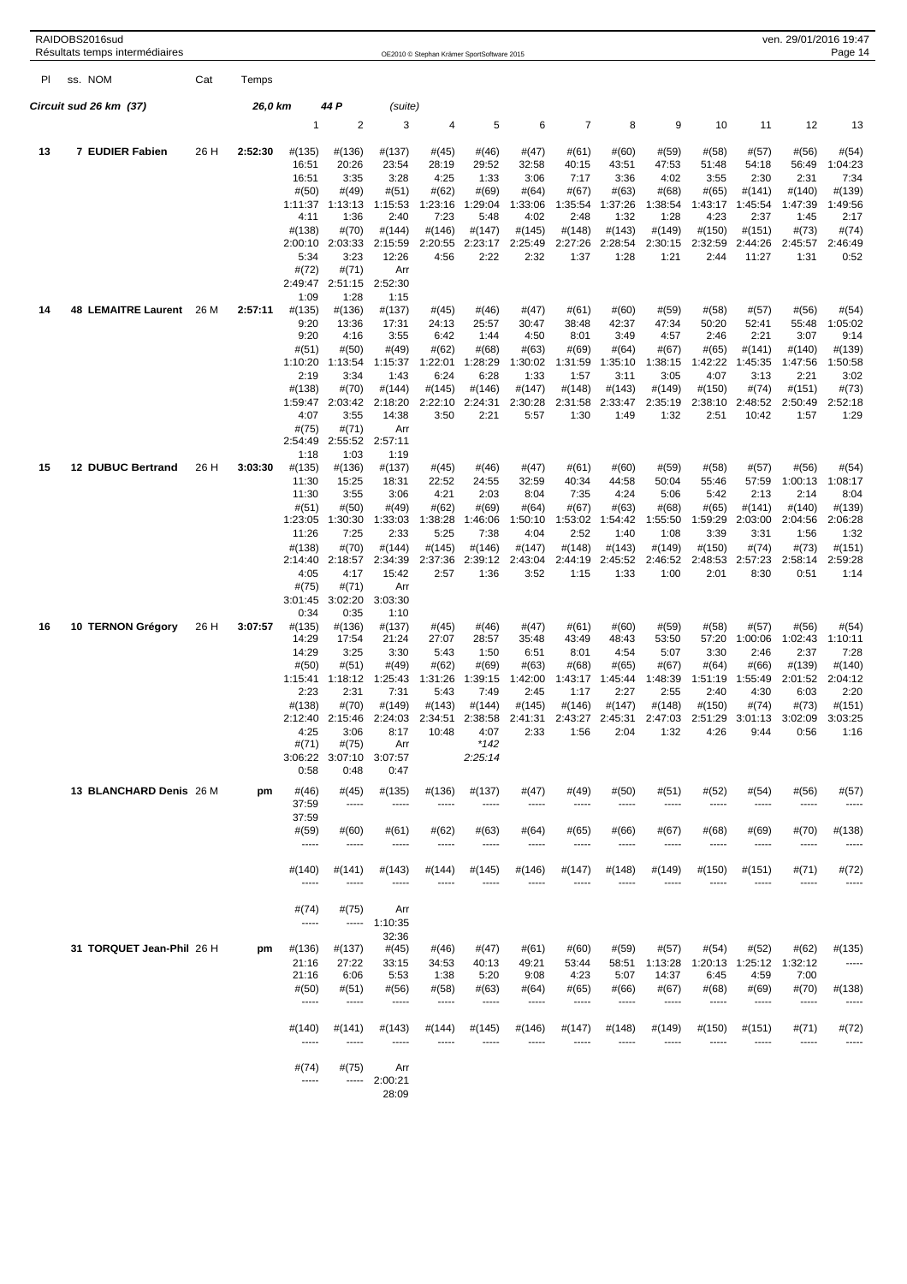|     | RAIDOBS2016sud | Résultats temps intermédiaires |      |         |                   |                  |                   |                   | OE2010 © Stephan Krämer SportSoftware 2015 |                   |                   |                   |                   |                   |                   |                    | ven. 29/01/2016 19:47<br>Page 14 |
|-----|----------------|--------------------------------|------|---------|-------------------|------------------|-------------------|-------------------|--------------------------------------------|-------------------|-------------------|-------------------|-------------------|-------------------|-------------------|--------------------|----------------------------------|
| PI. | ss. NOM        |                                | Cat  | Temps   |                   |                  |                   |                   |                                            |                   |                   |                   |                   |                   |                   |                    |                                  |
|     |                | Circuit sud 26 km(37)          |      | 26,0 km |                   | 44 P             | (suite)           |                   |                                            |                   |                   |                   |                   |                   |                   |                    |                                  |
|     |                |                                |      |         | 1                 | 2                | 3                 | 4                 | 5                                          | 6                 | $\overline{7}$    | 8                 | 9                 | 10                | 11                | 12                 | 13                               |
| 13  |                | 7 EUDIER Fabien                | 26 H | 2:52:30 | #(135)            | #(136)           | #(137)            | #(45)             | #(46)                                      | #(47)             | # (61)            | #(60)             | #(59)             | #(58)             | #(57)             | #(56)              | #(54)                            |
|     |                |                                |      |         | 16:51<br>16:51    | 20:26<br>3:35    | 23:54<br>3:28     | 28:19<br>4:25     | 29:52<br>1:33                              | 32:58<br>3:06     | 40:15<br>7:17     | 43:51<br>3:36     | 47:53<br>4:02     | 51:48<br>3:55     | 54:18<br>2:30     | 56:49<br>2:31      | 1:04:23<br>7:34                  |
|     |                |                                |      |         | #(50)             | #(49)            | #(51)             | #(62)             | #(69)                                      | #(64)             | #(67)             | #(63)             | #(68)             | #(65)             | #(141)            | #(140)             | #(139)                           |
|     |                |                                |      |         | 1:11:37           | 1:13:13          | 1:15:53           | 1:23:16           | 1:29:04                                    | 1:33:06           | 1:35:54           | 1:37:26           | 1:38:54           | 1:43:17           | 1:45:54           | 1:47:39            | 1:49:56                          |
|     |                |                                |      |         | 4:11              | 1:36             | 2:40              | 7:23              | 5:48                                       | 4:02              | 2:48              | 1:32              | 1:28              | 4:23              | 2:37              | 1:45               | 2:17                             |
|     |                |                                |      |         | #(138)<br>2:00:10 | #(70)<br>2:03:33 | #(144)<br>2:15:59 | #(146)<br>2:20:55 | #(147)<br>2:23:17                          | #(145)<br>2:25:49 | #(148)<br>2:27:26 | #(143)<br>2:28:54 | #(149)<br>2:30:15 | #(150)<br>2:32:59 | #(151)<br>2:44:26 | #(73)<br>2:45:57   | #(74)<br>2:46:49                 |
|     |                |                                |      |         | 5:34              | 3:23             | 12:26             | 4:56              | 2:22                                       | 2:32              | 1:37              | 1:28              | 1:21              | 2:44              | 11:27             | 1:31               | 0:52                             |
|     |                |                                |      |         | #(72)             | #(71)            | Arr               |                   |                                            |                   |                   |                   |                   |                   |                   |                    |                                  |
|     |                |                                |      |         | 2:49:47           | 2:51:15          | 2:52:30           |                   |                                            |                   |                   |                   |                   |                   |                   |                    |                                  |
| 14  |                | 48 LEMAITRE Laurent            | 26 M | 2:57:11 | 1:09<br>#(135)    | 1:28<br>#(136)   | 1:15<br>#(137)    | $\#(45)$          | #(46)                                      | #(47)             | # (61)            | #(60)             | #(59)             | #(58)             | #(57)             | #(56)              | #(54)                            |
|     |                |                                |      |         | 9:20              | 13:36            | 17:31             | 24:13             | 25:57                                      | 30:47             | 38:48             | 42:37             | 47:34             | 50:20             | 52:41             | 55:48              | 1:05:02                          |
|     |                |                                |      |         | 9:20              | 4:16             | 3:55              | 6:42              | 1:44                                       | 4:50              | 8:01              | 3:49              | 4:57              | 2:46              | 2:21              | 3:07               | 9:14                             |
|     |                |                                |      |         | #(51)             | #(50)            | #(49)             | #(62)             | #(68)                                      | #(63)             | #(69)             | #(64)             | #(67)             | $\#(65)$          | #(141)            | #(140)             | #(139)                           |
|     |                |                                |      |         | 1:10:20<br>2:19   | 1:13:54<br>3:34  | 1:15:37<br>1:43   | 1:22:01<br>6:24   | 1:28:29<br>6:28                            | 1:30:02<br>1:33   | 1:31:59<br>1:57   | 1:35:10<br>3:11   | 1:38:15<br>3:05   | 1:42:22<br>4:07   | 1:45:35<br>3:13   | 1:47:56<br>2:21    | 1:50:58<br>3:02                  |
|     |                |                                |      |         | #(138)            | #(70)            | #(144)            | #(145)            | #(146)                                     | #(147)            | #(148)            | #(143)            | #(149)            | #(150)            | #(74)             | #(151)             | #(73)                            |
|     |                |                                |      |         | 1:59:47           | 2:03:42          | 2:18:20           | 2:22:10           | 2:24:31                                    | 2:30:28           | 2:31:58           | 2:33:47           | 2:35:19           | 2:38:10           | 2:48:52           | 2:50:49            | 2:52:18                          |
|     |                |                                |      |         | 4:07              | 3:55             | 14:38             | 3:50              | 2:21                                       | 5:57              | 1:30              | 1:49              | 1:32              | 2:51              | 10:42             | 1:57               | 1:29                             |
|     |                |                                |      |         | #(75)<br>2:54:49  | #(71)<br>2:55:52 | Arr<br>2:57:11    |                   |                                            |                   |                   |                   |                   |                   |                   |                    |                                  |
|     |                |                                |      |         | 1:18              | 1:03             | 1:19              |                   |                                            |                   |                   |                   |                   |                   |                   |                    |                                  |
| 15  |                | <b>12 DUBUC Bertrand</b>       | 26 H | 3:03:30 | #(135)            | #(136)           | #(137)            | #(45)             | #(46)                                      | #(47)             | # (61)            | #(60)             | #(59)             | #(58)             | #(57)             | #(56)              | #(54)                            |
|     |                |                                |      |         | 11:30<br>11:30    | 15:25<br>3:55    | 18:31<br>3:06     | 22:52<br>4:21     | 24:55<br>2:03                              | 32:59<br>8:04     | 40:34<br>7:35     | 44:58<br>4:24     | 50:04<br>5:06     | 55:46<br>5:42     | 57:59<br>2:13     | 1:00:13<br>2:14    | 1:08:17<br>8:04                  |
|     |                |                                |      |         | #(51)             | #(50)            | #(49)             | #(62)             | #(69)                                      | #(64)             | # (67)            | # (63)            | #(68)             | #(65)             | #(141)            | #(140)             | #(139)                           |
|     |                |                                |      |         | 1:23:05           | 1:30:30          | 1:33:03           | 1:38:28           | 1:46:06                                    | 1:50:10           | 1:53:02           | 1:54:42           | 1:55:50           | 1:59:29           | 2:03:00           | 2:04:56            | 2:06:28                          |
|     |                |                                |      |         | 11:26             | 7:25             | 2:33              | 5:25              | 7:38                                       | 4:04              | 2:52              | 1:40              | 1:08              | 3:39              | 3:31              | 1:56               | 1:32                             |
|     |                |                                |      |         | #(138)<br>2:14:40 | #(70)<br>2:18:57 | #(144)<br>2:34:39 | #(145)<br>2:37:36 | #(146)<br>2:39:12                          | #(147)<br>2:43:04 | #(148)<br>2:44:19 | #(143)<br>2:45:52 | #(149)<br>2:46:52 | #(150)<br>2:48:53 | #(74)<br>2:57:23  | #(73)<br>2:58:14   | #(151)<br>2:59:28                |
|     |                |                                |      |         | 4:05              | 4:17             | 15:42             | 2:57              | 1:36                                       | 3:52              | 1:15              | 1:33              | 1:00              | 2:01              | 8:30              | 0:51               | 1:14                             |
|     |                |                                |      |         | #(75)             | #(71)            | Arr               |                   |                                            |                   |                   |                   |                   |                   |                   |                    |                                  |
|     |                |                                |      |         | 3:01:45           | 3:02:20          | 3:03:30           |                   |                                            |                   |                   |                   |                   |                   |                   |                    |                                  |
| 16  |                | 10 TERNON Grégory              | 26 H | 3:07:57 | 0:34<br>#(135)    | 0:35<br>#(136)   | 1:10<br>#(137)    | #(45)             | #(46)                                      | #(47)             | # (61)            | #(60)             | #(59)             | #(58)             | #(57)             | #(56)              | #(54)                            |
|     |                |                                |      |         | 14:29             | 17:54            | 21:24             | 27:07             | 28:57                                      | 35:48             | 43:49             | 48:43             | 53:50             | 57:20             | 1:00:06           | 1:02:43            | 1:10:11                          |
|     |                |                                |      |         | 14:29             | 3:25             | 3:30              | 5:43              | 1:50                                       | 6:51              | 8:01              | 4:54              | 5:07              | 3:30              | 2:46              | 2:37               | 7:28                             |
|     |                |                                |      |         | #(50)             | #(51)            | #(49)             | #(62)             | #(69)                                      | #(63)             | #(68)             | #(65)             | #(67)             | #(64)             | #(66)             | #(139)             | #(140)                           |
|     |                |                                |      |         | 1:15:41<br>2:23   | 1:18:12<br>2:31  | 1:25:43<br>7:31   | 1:31:26<br>5:43   | 1:39:15<br>7:49                            | 1:42:00<br>2:45   | 1:43:17<br>1:17   | 1:45:44<br>2:27   | 1:48:39<br>2:55   | 1:51:19<br>2:40   | 1:55:49<br>4:30   | 2:01:52<br>6:03    | 2:04:12<br>2:20                  |
|     |                |                                |      |         | #(138)            | #(70)            | #(149)            | #(143)            | #(144)                                     | #(145)            | #(146)            | #(147)            | #(148)            | #(150)            | #(74)             | #(73)              | #(151)                           |
|     |                |                                |      |         | 2:12:40           | 5:46             | :24:03            |                   | 2:38:58                                    |                   |                   |                   |                   | 0.54.00           | 01:13             | :02:09             | 3:03:25                          |
|     |                |                                |      |         | 4:25<br>#(71)     | 3:06<br>#(75)    | 8:17<br>Arr       | 10:48             | 4:07<br>$*142$                             | 2:33              | 1:56              | 2:04              | 1:32              | 4:26              | 9:44              | 0:56               | 1:16                             |
|     |                |                                |      |         | 3:06:22           | 3:07:10          | 3:07:57           |                   | 2:25:14                                    |                   |                   |                   |                   |                   |                   |                    |                                  |
|     |                |                                |      |         | 0:58              | 0:48             | 0:47              |                   |                                            |                   |                   |                   |                   |                   |                   |                    |                                  |
|     |                | 13 BLANCHARD Denis 26 M        |      | pm      | #(46)             | #(45)            | #(135)            | #(136)            | #(137)                                     | #(47)             | #(49)             | #(50)             | #(51)             | #(52)             | #(54)             | #(56)              | #(57)                            |
|     |                |                                |      |         | 37:59             | -----            | -----             | -----             | -----                                      | -----             | 1.1.1.1           | -----             | $- - - - -$       | -----             | -----             | -----              | -----                            |
|     |                |                                |      |         | 37:59             |                  |                   |                   |                                            |                   |                   |                   |                   |                   |                   |                    |                                  |
|     |                |                                |      |         | #(59)<br>1.1111   | #(60)<br>-----   | #(61)<br>-----    | #(62)<br>-----    | #(63)<br>-----                             | #(64)             | #(65)             | #(66)             | #(67)<br>-----    | #(68)<br>-----    | #(69)<br>-----    | #(70)<br>$- - - -$ | #(138)<br>-----                  |
|     |                |                                |      |         |                   |                  |                   |                   |                                            |                   |                   |                   |                   |                   |                   |                    |                                  |
|     |                |                                |      |         | #(140)            | #(141)           | #(143)            | #(144)            | #(145)                                     | #(146)            | #(147)            | #(148)            | #(149)            | #(150)            | #(151)            | #(71)              | #(72)                            |
|     |                |                                |      |         | -----             | -----            | -----             |                   | ----                                       |                   |                   |                   |                   |                   |                   | $- - - - -$        | -----                            |
|     |                |                                |      |         | #(74)             | #(75)            | Arr               |                   |                                            |                   |                   |                   |                   |                   |                   |                    |                                  |
|     |                |                                |      |         | -----             | -----            | 1:10:35           |                   |                                            |                   |                   |                   |                   |                   |                   |                    |                                  |
|     |                |                                |      |         |                   |                  | 32:36             |                   |                                            |                   |                   |                   |                   |                   |                   |                    |                                  |
|     |                | 31 TORQUET Jean-Phil 26 H      |      | pm      | #(136)<br>21:16   | #(137)<br>27:22  | #(45)<br>33:15    | #(46)<br>34:53    | #(47)<br>40:13                             | #(61)<br>49:21    | #(60)<br>53:44    | #(59)<br>58:51    | #(57)<br>1:13:28  | #(54)<br>1:20:13  | #(52)<br>1:25:12  | #(62)<br>1:32:12   | #(135)<br>1.1111                 |
|     |                |                                |      |         | 21:16             | 6:06             | 5:53              | 1:38              | 5:20                                       | 9:08              | 4:23              | 5:07              | 14:37             | 6:45              | 4:59              | 7:00               |                                  |
|     |                |                                |      |         | #(50)             | #(51)            | #(56)             | #(58)             | #(63)                                      | #(64)             | #(65)             | #(66)             | #(67)             | #(68)             | #(69)             | #(70)              | #(138)                           |
|     |                |                                |      |         | -----             | -----            | 1.1.1.1           | -----             | -----                                      | -----             | $1 - 1 - 1 = 1$   | 1.1.1.1           | -----             | -----             | -----             | $- - - - -$        | -----                            |
|     |                |                                |      |         | #(140)            | #(141)           | #(143)            | #(144)            | #(145)                                     | #(146)            | #(147)            | #(148)            | #(149)            | #(150)            | $\#(151)$         | #(71)              | #(72)                            |
|     |                |                                |      |         | -----             | -----            | -----             | ----              |                                            |                   |                   |                   |                   |                   |                   | -----              | -----                            |
|     |                |                                |      |         |                   |                  |                   |                   |                                            |                   |                   |                   |                   |                   |                   |                    |                                  |
|     |                |                                |      |         | #(74)<br>-----    | #(75)<br>-----   | Arr<br>2:00:21    |                   |                                            |                   |                   |                   |                   |                   |                   |                    |                                  |
|     |                |                                |      |         |                   |                  | 28:09             |                   |                                            |                   |                   |                   |                   |                   |                   |                    |                                  |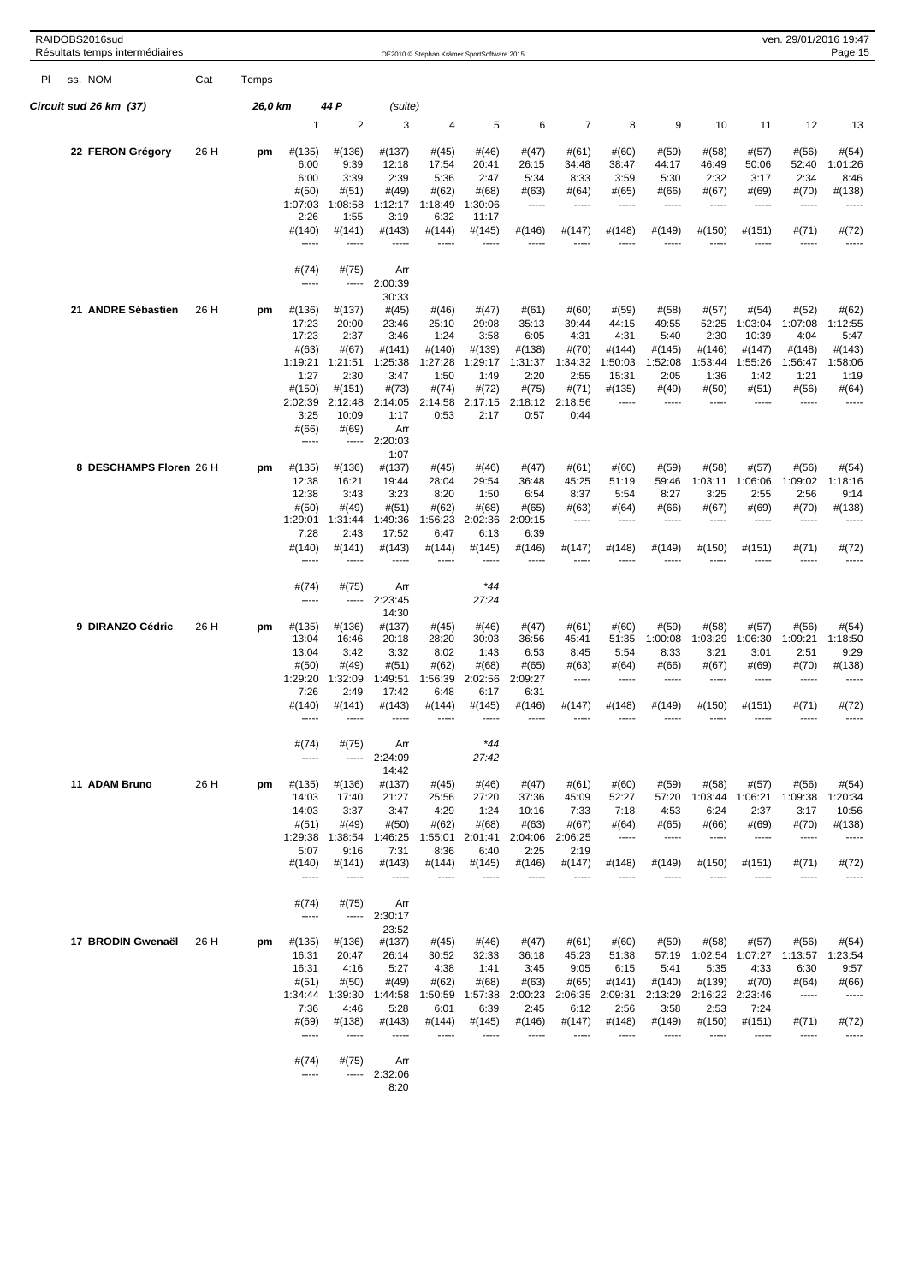|     | RAIDOBS2016sud<br>Résultats temps intermédiaires |      |         |                  |                         |                  |                  | OE2010 © Stephan Krämer SportSoftware 2015 |                 |                  |                  |                 |                 |                  |                 | ven. 29/01/2016 19:47<br>Page 15 |
|-----|--------------------------------------------------|------|---------|------------------|-------------------------|------------------|------------------|--------------------------------------------|-----------------|------------------|------------------|-----------------|-----------------|------------------|-----------------|----------------------------------|
| PI. | ss. NOM                                          | Cat  | Temps   |                  |                         |                  |                  |                                            |                 |                  |                  |                 |                 |                  |                 |                                  |
|     | Circuit sud 26 km (37)                           |      | 26,0 km |                  | 44 P                    | (suite)          |                  |                                            |                 |                  |                  |                 |                 |                  |                 |                                  |
|     |                                                  |      |         | 1                | $\overline{\mathbf{c}}$ | 3                | 4                | 5                                          | 6               | $\overline{7}$   | 8                | 9               | 10              | 11               | 12              | 13                               |
|     | 22 FERON Grégory                                 | 26 H | pm      | #(135)<br>6:00   | #(136)<br>9:39          | #(137)<br>12:18  | #(45)<br>17:54   | #(46)<br>20:41                             | #(47)<br>26:15  | # (61)<br>34:48  | #(60)<br>38:47   | #(59)<br>44:17  | #(58)<br>46:49  | #(57)<br>50:06   | #(56)<br>52:40  | #(54)<br>1:01:26                 |
|     |                                                  |      |         | 6:00             | 3:39                    | 2:39             | 5:36             | 2:47                                       | 5:34            | 8:33             | 3:59             | 5:30            | 2:32            | 3:17             | 2:34            | 8:46                             |
|     |                                                  |      |         | #(50)<br>1:07:03 | #(51)<br>1:08:58        | #(49)<br>1:12:17 | #(62)<br>1:18:49 | #(68)<br>1:30:06                           | #(63)<br>-----  | #(64)<br>-----   | #(65)<br>-----   | #(66)<br>-----  | # (67)<br>----- | #(69)<br>-----   | #(70)<br>-----  | #(138)<br>-----                  |
|     |                                                  |      |         | 2:26             | 1:55                    | 3:19             | 6:32             | 11:17                                      |                 |                  |                  |                 |                 |                  |                 |                                  |
|     |                                                  |      |         | #(140)<br>-----  | #(141)<br>-----         | #(143)           | #(144)           | #(145)                                     | #(146)          | #(147)           | #(148)           | #(149)          | #(150)          | #(151)           | #(71)           | #(72)                            |
|     |                                                  |      |         | #(74)            | #(75)                   | Arr              |                  |                                            |                 |                  |                  |                 |                 |                  |                 |                                  |
|     |                                                  |      |         | 1.1111           | -----                   | 2:00:39          |                  |                                            |                 |                  |                  |                 |                 |                  |                 |                                  |
|     | 21 ANDRE Sébastien                               | 26 H | pm      | #(136)           | #(137)                  | 30:33<br>#(45)   | #(46)            | #(47)                                      | #(61)           | #(60)            | #(59)            | #(58)           | #(57)           | #(54)            | #(52)           | #(62)                            |
|     |                                                  |      |         | 17:23<br>17:23   | 20:00<br>2:37           | 23:46<br>3:46    | 25:10<br>1:24    | 29:08<br>3:58                              | 35:13<br>6:05   | 39:44<br>4:31    | 44:15<br>4:31    | 49:55<br>5:40   | 52:25<br>2:30   | 1:03:04<br>10:39 | 1:07:08<br>4:04 | 1:12:55<br>5:47                  |
|     |                                                  |      |         | #(63)            | #(67)                   | #(141)           | #(140)           | #(139)                                     | #(138)          | #(70)            | #(144)           | #(145)          | #(146)          | #(147)           | #(148)          | #(143)                           |
|     |                                                  |      |         | 1:19:21<br>1:27  | 1:21:51<br>2:30         | 1:25:38<br>3:47  | 1:27:28<br>1:50  | 1:29:17<br>1:49                            | 1:31:37<br>2:20 | 1:34:32<br>2:55  | 1:50:03<br>15:31 | 1:52:08<br>2:05 | 1:53:44<br>1:36 | 1:55:26<br>1:42  | 1:56:47<br>1:21 | 1:58:06<br>1:19                  |
|     |                                                  |      |         | #(150)           | $\#(151)$               | #(73)            | #(74)            | #(72)                                      | #(75)           | #(71)            | #(135)           | #(49)           | #(50)           | #(51)            | #(56)           | #(64)                            |
|     |                                                  |      |         | 2:02:39<br>3:25  | 2:12:48<br>10:09        | 2:14:05<br>1:17  | 2:14:58<br>0:53  | 2:17:15<br>2:17                            | 2:18:12<br>0:57 | 2:18:56<br>0:44  | -----            | -----           | -----           | -----            | -----           | -----                            |
|     |                                                  |      |         | #(66)            | #(69)                   | Arr              |                  |                                            |                 |                  |                  |                 |                 |                  |                 |                                  |
|     |                                                  |      |         | -----            | -----                   | 2:20:03<br>1:07  |                  |                                            |                 |                  |                  |                 |                 |                  |                 |                                  |
|     | 8 DESCHAMPS Floren 26 H                          |      | pm      | #(135)           | #(136)                  | #(137)           | #(45)            | #(46)                                      | #(47)           | # (61)           | #(60)            | #(59)           | #(58)           | #(57)            | #(56)           | #(54)                            |
|     |                                                  |      |         | 12:38<br>12:38   | 16:21<br>3:43           | 19:44<br>3:23    | 28:04<br>8:20    | 29:54<br>1:50                              | 36:48<br>6:54   | 45:25<br>8:37    | 51:19<br>5:54    | 59:46<br>8:27   | 1:03:11<br>3:25 | 1:06:06<br>2:55  | 1:09:02<br>2:56 | 1:18:16<br>9:14                  |
|     |                                                  |      |         | #(50)            | #(49)                   | #(51)            | #(62)            | #(68)                                      | #(65)           | #(63)            | #(64)            | #(66)           | #(67)           | #(69)            | #(70)           | #(138)                           |
|     |                                                  |      |         | 1:29:01<br>7:28  | 1:31:44<br>2:43         | 1:49:36<br>17:52 | 1:56:23<br>6:47  | 2:02:36<br>6:13                            | 2:09:15<br>6:39 | -----            | -----            | -----           | -----           | -----            | -----           | -----                            |
|     |                                                  |      |         | #(140)<br>-----  | #(141)<br>-----         | #(143)<br>-----  | #(144)           | #(145)<br>-----                            | #(146)          | #(147)           | #(148)           | #(149)          | #(150)          | #(151)           | #(71)<br>----   | #(72)<br>-----                   |
|     |                                                  |      |         | #(74)            | #(75)                   | Arr              |                  | $*44$                                      |                 |                  |                  |                 |                 |                  |                 |                                  |
|     |                                                  |      |         | -----            | -----                   | 2:23:45          |                  | 27:24                                      |                 |                  |                  |                 |                 |                  |                 |                                  |
|     | 9 DIRANZO Cédric                                 | 26 H | pm      | #(135)           | #(136)                  | 14:30<br>#(137)  | #(45)            | #(46)                                      | #(47)           | # (61)           | #(60)            | #(59)           | #(58)           | #(57)            | #(56)           | #(54)                            |
|     |                                                  |      |         | 13:04            | 16:46                   | 20:18            | 28:20            | 30:03                                      | 36:56           | 45:41            | 51:35            | 1:00:08         | 1:03:29         | 1:06:30          | 1:09:21         | 1:18:50                          |
|     |                                                  |      |         | 13:04<br>#(50)   | 3:42<br>#(49)           | 3:32<br>#(51)    | 8:02<br>#(62)    | 1:43<br>#(68)                              | 6:53<br>#(65)   | 8:45<br>#(63)    | 5:54<br>#(64)    | 8:33<br>#(66)   | 3:21<br>#(67)   | 3:01<br>#(69)    | 2:51<br>#(70)   | 9:29<br>#(138)                   |
|     |                                                  |      |         | 1:29:20          | 1:32:09                 | 1:49:51          | 1:56:39          | 2:02:56                                    | 2:09:27         | 1.1.1.1          | $- - - -$        | -----           | $- - - -$       | -----            | $- - - -$       | -----                            |
|     |                                                  |      |         | 7:26<br>#(140)   | 2:49<br>#(141)          | 17:42<br>#(143)  | 6:48<br>#(144)   | 6:17<br>#(145)                             | 6:31<br>#(146)  | #(147)           | #(148)           | #(149)          | #(150)          | #(151)           | #(71)           | #(72)                            |
|     |                                                  |      |         |                  |                         |                  |                  |                                            |                 |                  |                  |                 |                 |                  |                 |                                  |
|     |                                                  |      |         | #(74)            | #(75)                   | Arr              |                  | $*44$                                      |                 |                  |                  |                 |                 |                  |                 |                                  |
|     |                                                  |      |         | -----            | -----                   | 2:24:09<br>14:42 |                  | 27:42                                      |                 |                  |                  |                 |                 |                  |                 |                                  |
|     | 11 ADAM Bruno                                    | 26 H | pm      | #(135)           | #(136)                  | #(137)           | #(45)            | #(46)                                      | #(47)           | # (61)           | #(60)            | #(59)           | #(58)           | #(57)            | #(56)           | #(54)                            |
|     |                                                  |      |         | 14:03<br>14:03   | 17:40<br>3:37           | 21:27<br>3:47    | 25:56<br>4:29    | 27:20<br>1:24                              | 37:36<br>10:16  | 45:09<br>7:33    | 52:27<br>7:18    | 57:20<br>4:53   | 1:03:44<br>6:24 | 1:06:21<br>2:37  | 1:09:38<br>3:17 | 1:20:34<br>10:56                 |
|     |                                                  |      |         | #(51)            | #(49)                   | #(50)            | #(62)            | #(68)                                      | # (63)          | # (67)           | #(64)            | $\#(65)$        | #(66)           | #(69)            | #(70)           | #(138)                           |
|     |                                                  |      |         | 1:29:38<br>5:07  | 1:38:54<br>9:16         | 1:46:25<br>7:31  | 1:55:01<br>8:36  | 2:01:41<br>6:40                            | 2:04:06<br>2:25 | 2:06:25<br>2:19  | 1.1.1.1          | 1.1.1.1         | -----           | -----            | -----           | -----                            |
|     |                                                  |      |         | #(140)<br>-----  | #(141)<br>-----         | #(143)<br>-----  | #(144)<br>----   | #(145)<br>----                             | #(146)<br>$---$ | #(147)           | #(148)           | #(149)          | $\#(150)$       | $\#(151)$        | #(71)           | #(72)                            |
|     |                                                  |      |         | #(74)            | #(75)                   | Arr              |                  |                                            |                 |                  |                  |                 |                 |                  |                 |                                  |
|     |                                                  |      |         | -----            | -----                   | 2:30:17          |                  |                                            |                 |                  |                  |                 |                 |                  |                 |                                  |
|     | 17 BRODIN Gwenaël                                | 26 H | pm      | #(135)           | #(136)                  | 23:52<br>#(137)  | #(45)            | #(46)                                      | #(47)           | #(61)            | #(60)            | #(59)           | #(58)           | #(57)            | #(56)           | #(54)                            |
|     |                                                  |      |         | 16:31            | 20:47                   | 26:14            | 30:52            | 32:33                                      | 36:18           | 45:23            | 51:38            | 57:19           | 1:02:54         | 1:07:27          | 1:13:57         | 1:23:54                          |
|     |                                                  |      |         | 16:31<br>#(51)   | 4:16<br>#(50)           | 5:27<br>#(49)    | 4:38<br>#(62)    | 1:41<br>#(68)                              | 3:45<br>#(63)   | 9:05<br>$\#(65)$ | 6:15<br>#(141)   | 5:41<br>#(140)  | 5:35<br>#(139)  | 4:33<br>#(70)    | 6:30<br>#(64)   | 9:57<br>#(66)                    |
|     |                                                  |      |         | 1:34:44          | 1:39:30                 | 1:44:58          | 1:50:59          | 1:57:38                                    | 2:00:23         | 2:06:35          | 2:09:31          | 2:13:29         | 2:16:22         | 2:23:46          | -----           | 1.1.1.1                          |
|     |                                                  |      |         | 7:36<br>#(69)    | 4:46<br>#(138)          | 5:28<br>#(143)   | 6:01<br>#(144)   | 6:39<br>#(145)                             | 2:45<br>#(146)  | 6:12<br>#(147)   | 2:56<br>#(148)   | 3:58<br>#(149)  | 2:53<br>#(150)  | 7:24<br>#(151)   | #(71)           | #(72)                            |
|     |                                                  |      |         | -----            | -----                   | -----            | -----            | -----                                      |                 | -----            | -----            | -----           | -----           | -----            | -----           | -----                            |
|     |                                                  |      |         | #(74)            | #(75)                   | Arr              |                  |                                            |                 |                  |                  |                 |                 |                  |                 |                                  |
|     |                                                  |      |         | -----            |                         | $-- 2:32:06$     |                  |                                            |                 |                  |                  |                 |                 |                  |                 |                                  |

 $8:20$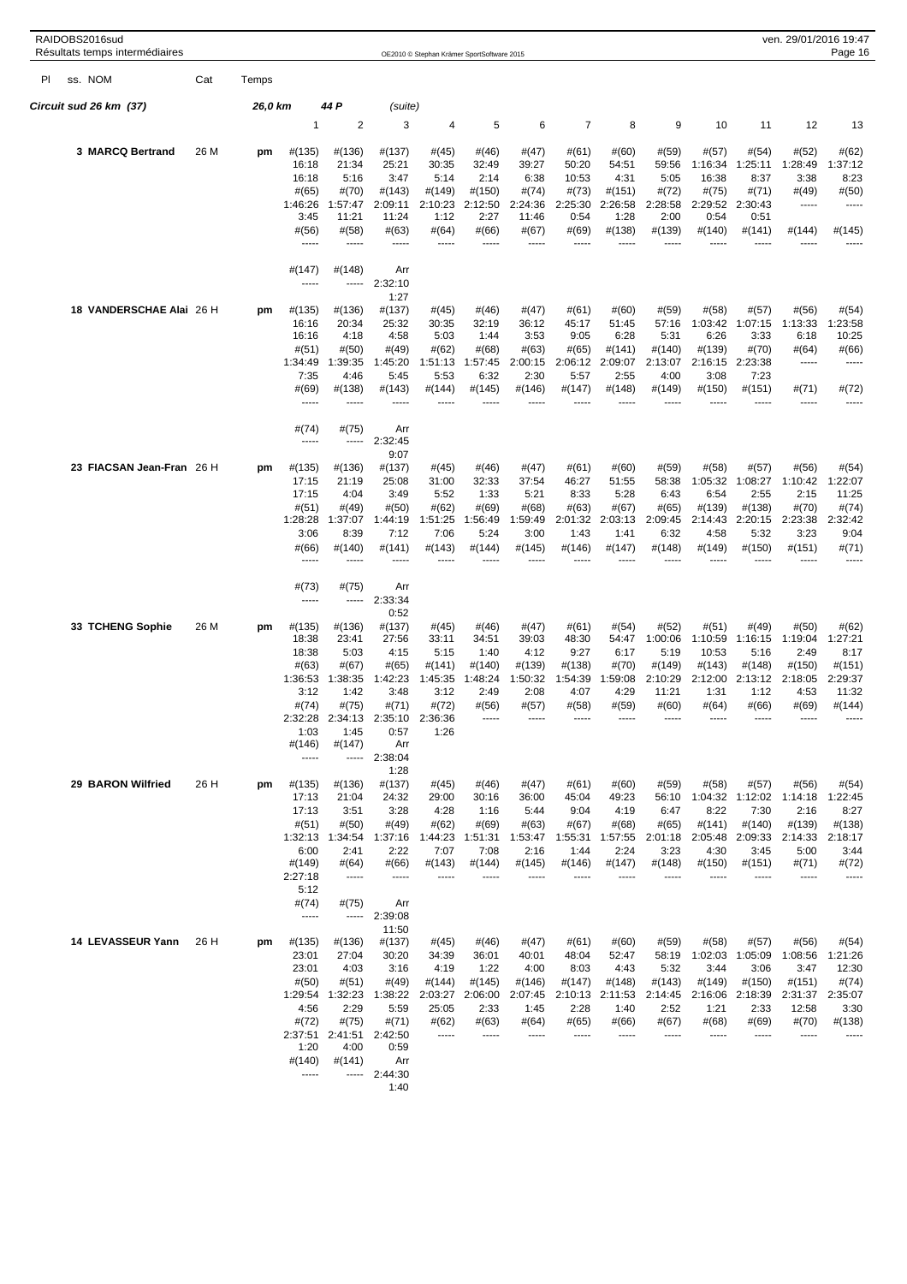|     | RAIDOBS2016sud<br>Résultats temps intermédiaires |      |         |                   |                  |                  |                  | OE2010 © Stephan Krämer SportSoftware 2015 |                    |                   |                  |                  |                   |                   |                          | ven. 29/01/2016 19:47<br>Page 16 |
|-----|--------------------------------------------------|------|---------|-------------------|------------------|------------------|------------------|--------------------------------------------|--------------------|-------------------|------------------|------------------|-------------------|-------------------|--------------------------|----------------------------------|
| PI. | ss. NOM                                          | Cat  | Temps   |                   |                  |                  |                  |                                            |                    |                   |                  |                  |                   |                   |                          |                                  |
|     | Circuit sud 26 km(37)                            |      | 26,0 km |                   | 44 P             | (suite)          |                  |                                            |                    |                   |                  |                  |                   |                   |                          |                                  |
|     |                                                  |      |         | 1                 | 2                | 3                | 4                | 5                                          | 6                  | $\overline{7}$    | 8                | 9                | 10                | 11                | 12                       | 13                               |
|     | 3 MARCQ Bertrand                                 | 26 M | pm      | #(135)            | #(136)           | #(137)           | #(45)            | #(46)                                      | #(47)              | #(61)             | #(60)            | #(59)            | #(57)             | #(54)             | #(52)                    | #(62)                            |
|     |                                                  |      |         | 16:18             | 21:34            | 25:21            | 30:35            | 32:49                                      | 39:27              | 50:20             | 54:51            | 59:56            | 1:16:34           | 1:25:11           | 1:28:49                  | 1:37:12                          |
|     |                                                  |      |         | 16:18<br>#(65)    | 5:16<br>#(70)    | 3:47<br>#(143)   | 5:14<br>#(149)   | 2:14<br>#(150)                             | 6:38<br>#(74)      | 10:53<br>#(73)    | 4:31<br>#(151)   | 5:05<br>#(72)    | 16:38<br>#(75)    | 8:37<br>#(71)     | 3:38<br>#(49)            | 8:23<br>#(50)                    |
|     |                                                  |      |         | 1:46:26           | 1:57:47          | 2:09:11          | 2:10:23          | 2:12:50                                    | 2:24:36            | 2:25:30           | 2:26:58          | 2:28:58          | 2:29:52           | 2:30:43           | -----                    | -----                            |
|     |                                                  |      |         | 3:45              | 11:21            | 11:24            | 1:12             | 2:27                                       | 11:46              | 0:54              | 1:28             | 2:00             | 0:54              | 0:51              |                          |                                  |
|     |                                                  |      |         | #(56)<br>-----    | #(58)<br>-----   | #(63)<br>-----   | #(64)            | #(66)                                      | # (67)             | #(69)             | #(138)           | #(139)           | #(140)            | #(141)            | #(144)                   | #(145)                           |
|     |                                                  |      |         | #(147)            | #(148)           | Arr              |                  |                                            |                    |                   |                  |                  |                   |                   |                          |                                  |
|     |                                                  |      |         | -----             | -----            | 2:32:10<br>1:27  |                  |                                            |                    |                   |                  |                  |                   |                   |                          |                                  |
|     | 18 VANDERSCHAE Alai 26 H                         |      | pm      | #(135)            | #(136)           | #(137)           | #(45)            | #(46)                                      | #(47)              | #(61)             | #(60)            | #(59)            | #(58)             | #(57)             | #(56)                    | #(54)                            |
|     |                                                  |      |         | 16:16<br>16:16    | 20:34            | 25:32<br>4:58    | 30:35<br>5:03    | 32:19<br>1:44                              | 36:12<br>3:53      | 45:17<br>9:05     | 51:45<br>6:28    | 57:16<br>5:31    | 1:03:42<br>6:26   | 1:07:15           | 1:13:33<br>6:18          | 1:23:58                          |
|     |                                                  |      |         | #(51)             | 4:18<br>#(50)    | #(49)            | #(62)            | #(68)                                      | #(63)              | #(65)             | #(141)           | #(140)           | #(139)            | 3:33<br>#(70)     | #(64)                    | 10:25<br>#(66)                   |
|     |                                                  |      |         | 1:34:49           | 1:39:35          | 1:45:20          | 1:51:13          | 1:57:45                                    | 2:00:15            | 2:06:12           | 2:09:07          | 2:13:07          | 2:16:15           | 2:23:38           | 1.1.1.1                  | -----                            |
|     |                                                  |      |         | 7:35<br>#(69)     | 4:46<br>#(138)   | 5:45<br>#(143)   | 5:53<br>#(144)   | 6:32<br>#(145)                             | 2:30<br>#(146)     | 5:57<br>#(147)    | 2:55<br>#(148)   | 4:00<br>#(149)   | 3:08<br>#(150)    | 7:23<br>#(151)    | #(71)                    | #(72)                            |
|     |                                                  |      |         | -----             | -----            | ----             |                  |                                            |                    |                   |                  |                  |                   |                   | -----                    | -----                            |
|     |                                                  |      |         | #(74)             | #(75)            | Arr              |                  |                                            |                    |                   |                  |                  |                   |                   |                          |                                  |
|     |                                                  |      |         | -----             | -----            | 2:32:45<br>9:07  |                  |                                            |                    |                   |                  |                  |                   |                   |                          |                                  |
|     | 23 FIACSAN Jean-Fran 26 H                        |      | pm      | #(135)            | #(136)           | #(137)           | #(45)            | #(46)                                      | #(47)              | # (61)            | #(60)            | #(59)            | #(58)             | #(57)             | #(56)                    | #(54)                            |
|     |                                                  |      |         | 17:15<br>17:15    | 21:19<br>4:04    | 25:08<br>3:49    | 31:00<br>5:52    | 32:33<br>1:33                              | 37:54<br>5:21      | 46:27<br>8:33     | 51:55<br>5:28    | 58:38<br>6:43    | 1:05:32<br>6:54   | 1:08:27<br>2:55   | 1:10:42<br>2:15          | 1:22:07<br>11:25                 |
|     |                                                  |      |         | #(51)             | #(49)            | #(50)            | #(62)            | #(69)                                      | #(68)              | #(63)             | #(67)            | #(65)            | #(139)            | #(138)            | #(70)                    | #(74)                            |
|     |                                                  |      |         | 1:28:28           | 1:37:07          | 1:44:19          | 1:51:25          | 1:56:49                                    | 1:59:49            | 2:01:32           | 2:03:13          | 2:09:45          | 2:14:43           | 2:20:15           | 2:23:38                  | 2:32:42                          |
|     |                                                  |      |         | 3:06<br>#(66)     | 8:39<br>#(140)   | 7:12<br>#(141)   | 7:06<br>#(143)   | 5:24<br>#(144)                             | 3:00<br>#(145)     | 1:43<br>#(146)    | 1:41<br>#(147)   | 6:32<br>#(148)   | 4:58<br>#(149)    | 5:32<br>#(150)    | 3:23<br>#(151)           | 9:04<br>#(71)                    |
|     |                                                  |      |         | -----             |                  | -----            |                  |                                            |                    |                   |                  |                  |                   |                   |                          |                                  |
|     |                                                  |      |         | #(73)             | #(75)            | Arr              |                  |                                            |                    |                   |                  |                  |                   |                   |                          |                                  |
|     |                                                  |      |         | -----             | -----            | 2:33:34<br>0:52  |                  |                                            |                    |                   |                  |                  |                   |                   |                          |                                  |
|     | 33 TCHENG Sophie                                 | 26 M | pm      | #(135)            | #(136)           | #(137)           | #(45)            | #(46)                                      | #(47)              | # (61)            | #(54)            | #(52)            | #(51)             | #(49)             | #(50)                    | #(62)                            |
|     |                                                  |      |         | 18:38<br>18:38    | 23:41<br>5:03    | 27:56<br>4:15    | 33:11<br>5:15    | 34:51<br>1:40                              | 39:03<br>4:12      | 48:30<br>9:27     | 54:47<br>6:17    | 1:00:06<br>5:19  | 1:10:59<br>10:53  | 1:16:15<br>5:16   | 1:19:04<br>2:49          | 1:27:21<br>8:17                  |
|     |                                                  |      |         | #(63)             | #(67)            | #(65)            | #(141)           | #(140)                                     | #(139)             | #(138)            | #(70)            | #(149)           | #(143)            | #(148)            | #(150)                   | #(151)                           |
|     |                                                  |      |         | 1:36:53           | 1:38:35          | 1:42:23          | 1:45:35          | 1:48:24                                    | 1:50:32            | 1:54:39           | 1:59:08          | 2:10:29          | 2:12:00           | 2:13:12           | 2:18:05                  | 2:29:37                          |
|     |                                                  |      |         | 3:12<br>#(74)     | 1:42<br>#(75)    | 3:48<br>#(71)    | 3:12<br>#(72)    | 2:49<br>#(56)                              | 2:08<br>#(57)      | 4:07<br>#(58)     | 4:29<br>#(59)    | 11:21<br>#(60)   | 1:31<br>#(64)     | 1:12<br>#(66)     | 4:53<br>#(69)            | 11:32<br>#(144)                  |
|     |                                                  |      |         | 2:32:28           | 2:34:13          | 2:35:10          | 2:36:36          |                                            |                    |                   |                  |                  |                   |                   |                          |                                  |
|     |                                                  |      |         | 1:03<br>#(146)    | 1:45<br>#(147)   | 0:57<br>Arr      | 1:26             |                                            |                    |                   |                  |                  |                   |                   |                          |                                  |
|     |                                                  |      |         | -----             | -----            | 2:38:04          |                  |                                            |                    |                   |                  |                  |                   |                   |                          |                                  |
|     | 29 BARON Wilfried                                |      |         |                   |                  | 1:28             |                  |                                            |                    |                   |                  |                  |                   |                   |                          |                                  |
|     |                                                  | 26 H | pm      | #(135)<br>17:13   | #(136)<br>21:04  | #(137)<br>24:32  | #(45)<br>29:00   | #(46)<br>30:16                             | #(47)<br>36:00     | # (61)<br>45:04   | #(60)<br>49:23   | #(59)<br>56:10   | #(58)<br>1:04:32  | #(57)<br>1:12:02  | #(56)<br>1:14:18         | #(54)<br>1:22:45                 |
|     |                                                  |      |         | 17:13             | 3:51             | 3:28             | 4:28             | 1:16                                       | 5:44               | 9:04              | 4:19             | 6:47             | 8:22              | 7:30              | 2:16                     | 8:27                             |
|     |                                                  |      |         | #(51)<br>1:32:13  | #(50)<br>1:34:54 | #(49)<br>1:37:16 | #(62)<br>1:44:23 | #(69)<br>1:51:31                           | #(63)<br>1:53:47   | # (67)<br>1:55:31 | #(68)<br>1:57:55 | #(65)<br>2:01:18 | #(141)<br>2:05:48 | #(140)<br>2:09:33 | #(139)<br>2:14:33        | #(138)<br>2:18:17                |
|     |                                                  |      |         | 6:00              | 2:41             | 2:22             | 7:07             | 7:08                                       | 2:16               | 1:44              | 2:24             | 3:23             | 4:30              | 3:45              | 5:00                     | 3:44                             |
|     |                                                  |      |         | #(149)<br>2:27:18 | #(64)<br>-----   | #(66)<br>1.1.1.1 | #(143)<br>-----  | #(144)<br>-----                            | #(145)<br>$\cdots$ | #(146)            | #(147)           | #(148)           | #(150)            | $\#(151)$         | #(71)                    | #(72)<br>-----                   |
|     |                                                  |      |         | 5:12              |                  |                  |                  |                                            |                    |                   |                  |                  |                   |                   |                          |                                  |
|     |                                                  |      |         | #(74)<br>1.1.1.1  | #(75)<br>-----   | Arr<br>2:39:08   |                  |                                            |                    |                   |                  |                  |                   |                   |                          |                                  |
|     |                                                  |      |         |                   |                  | 11:50            |                  |                                            |                    |                   |                  |                  |                   |                   |                          |                                  |
|     | 14 LEVASSEUR Yann                                | 26 H | pm      | #(135)<br>23:01   | #(136)<br>27:04  | #(137)<br>30:20  | #(45)<br>34:39   | #(46)<br>36:01                             | #(47)<br>40:01     | #(61)<br>48:04    | #(60)<br>52:47   | #(59)<br>58:19   | #(58)<br>1:02:03  | #(57)<br>1:05:09  | #(56)                    | #(54)                            |
|     |                                                  |      |         | 23:01             | 4:03             | 3:16             | 4:19             | 1:22                                       | 4:00               | 8:03              | 4:43             | 5:32             | 3:44              | 3:06              | 1:08:56<br>3:47          | 1:21:26<br>12:30                 |
|     |                                                  |      |         | #(50)             | #(51)            | #(49)            | #(144)           | #(145)                                     | #(146)             | #(147)            | #(148)           | #(143)           | #(149)            | #(150)            | #(151)                   | #(74)                            |
|     |                                                  |      |         | 1:29:54<br>4:56   | 1:32:23<br>2:29  | 1:38:22<br>5:59  | 2:03:27<br>25:05 | 2:06:00<br>2:33                            | 2:07:45<br>1:45    | 2:10:13<br>2:28   | 2:11:53<br>1:40  | 2:14:45<br>2:52  | 2:16:06<br>1:21   | 2:18:39<br>2:33   | 2:31:37 2:35:07<br>12:58 | 3:30                             |
|     |                                                  |      |         | #(72)             | #(75)            | #(71)            | #(62)            | #(63)                                      | #(64)              | #(65)             | #(66)            | #(67)            | #(68)             | #(69)             | #(70)                    | #(138)                           |
|     |                                                  |      |         | 2:37:51           | 2:41:51          | 2:42:50          | 1.1.1.1          | $- - - - -$                                | -----              | 1.1.1.1           | -----            | -----            | -----             | -----             | 1.1.1                    | -----                            |
|     |                                                  |      |         | 1:20<br>#(140)    | 4:00<br>#(141)   | 0:59<br>Arr      |                  |                                            |                    |                   |                  |                  |                   |                   |                          |                                  |
|     |                                                  |      |         | -----             |                  | $-- 2:44:30$     |                  |                                            |                    |                   |                  |                  |                   |                   |                          |                                  |
|     |                                                  |      |         |                   |                  | 1:40             |                  |                                            |                    |                   |                  |                  |                   |                   |                          |                                  |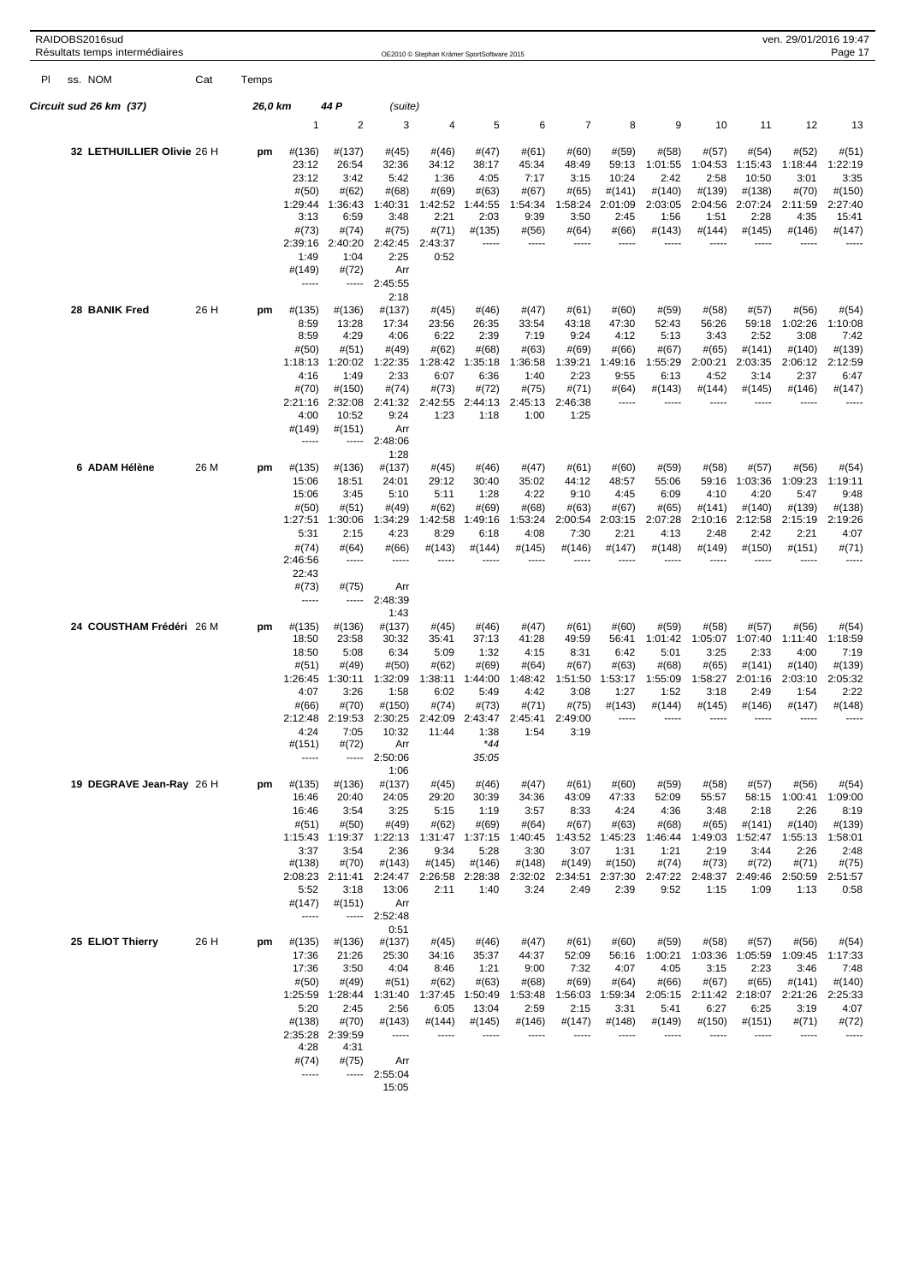|     | RAIDOBS2016sud<br>Résultats temps intermédiaires |      |         |                                                                                                        |                                                                                                         |                                                                                                                   | OE2010 © Stephan Krämer SportSoftware 2015                                        |                                                                                              |                                                                                    |                                                                                                  |                                                                                 |                                                                                |                                                                                |                                                                                 |                                                                                   | ven. 29/01/2016 19:47<br>Page 17                                                  |
|-----|--------------------------------------------------|------|---------|--------------------------------------------------------------------------------------------------------|---------------------------------------------------------------------------------------------------------|-------------------------------------------------------------------------------------------------------------------|-----------------------------------------------------------------------------------|----------------------------------------------------------------------------------------------|------------------------------------------------------------------------------------|--------------------------------------------------------------------------------------------------|---------------------------------------------------------------------------------|--------------------------------------------------------------------------------|--------------------------------------------------------------------------------|---------------------------------------------------------------------------------|-----------------------------------------------------------------------------------|-----------------------------------------------------------------------------------|
| PI. | ss. NOM                                          | Cat  | Temps   |                                                                                                        |                                                                                                         |                                                                                                                   |                                                                                   |                                                                                              |                                                                                    |                                                                                                  |                                                                                 |                                                                                |                                                                                |                                                                                 |                                                                                   |                                                                                   |
|     | Circuit sud 26 km(37)                            |      | 26,0 km |                                                                                                        | 44 P                                                                                                    | (suite)                                                                                                           |                                                                                   |                                                                                              |                                                                                    |                                                                                                  |                                                                                 |                                                                                |                                                                                |                                                                                 |                                                                                   |                                                                                   |
|     |                                                  |      |         | 1                                                                                                      | $\overline{\mathbf{c}}$                                                                                 | 3                                                                                                                 | 4                                                                                 | 5                                                                                            | 6                                                                                  | $\overline{7}$                                                                                   | 8                                                                               | 9                                                                              | 10                                                                             | 11                                                                              | 12                                                                                | 13                                                                                |
|     | 32 LETHUILLIER Olivie 26 H                       |      | pm      | #(136)<br>23:12<br>23:12<br>#(50)<br>1:29:44<br>3:13<br>#(73)<br>2:39:16<br>1:49<br>#(149)<br>-----    | #(137)<br>26:54<br>3:42<br>#(62)<br>1:36:43<br>6:59<br>#(74)<br>2:40:20<br>1:04<br>#(72)                | #(45)<br>32:36<br>5:42<br>#(68)<br>1:40:31<br>3:48<br>#(75)<br>2:42:45<br>2:25<br>Arr<br>$-- 2:45:55$             | #(46)<br>34:12<br>1:36<br>#(69)<br>1:42:52<br>2:21<br>#(71)<br>2:43:37<br>0:52    | #(47)<br>38:17<br>4:05<br>#(63)<br>1:44:55<br>2:03<br>#(135)<br>-----                        | # (61)<br>45:34<br>7:17<br># (67)<br>1:54:34<br>9:39<br>#(56)<br>-----             | #(60)<br>48:49<br>3:15<br>#(65)<br>1:58:24<br>3:50<br>#(64)<br>1.1.1.1                           | #(59)<br>59:13<br>10:24<br>#(141)<br>2:01:09<br>2:45<br>#(66)<br>$- - - -$      | #(58)<br>1:01:55<br>2:42<br>#(140)<br>2:03:05<br>1:56<br>#(143)<br>-----       | #(57)<br>1:04:53<br>2:58<br>#(139)<br>2:04:56<br>1:51<br>#(144)                | #(54)<br>1:15:43<br>10:50<br>#(138)<br>2:07:24<br>2:28<br>#(145)                | #(52)<br>1:18:44<br>3:01<br>#(70)<br>2:11:59<br>4:35<br>#(146)<br>-----           | #(51)<br>1:22:19<br>3:35<br>#(150)<br>2:27:40<br>15:41<br>#(147)<br>-----         |
|     | 28 BANIK Fred                                    | 26 H | pm      | #(135)<br>8:59<br>8:59<br>#(50)<br>1:18:13<br>4:16<br>#(70)<br>2:21:16<br>4:00<br>#(149)               | #(136)<br>13:28<br>4:29<br>#(51)<br>1:20:02<br>1:49<br>#(150)<br>2:32:08<br>10:52<br>$\#(151)$<br>----- | 2:18<br>#(137)<br>17:34<br>4:06<br>#(49)<br>1:22:35<br>2:33<br>#(74)<br>2:41:32<br>9:24<br>Arr<br>2:48:06<br>1:28 | $\#(45)$<br>23:56<br>6:22<br>#(62)<br>1:28:42<br>6:07<br>#(73)<br>2:42:55<br>1:23 | #(46)<br>26:35<br>2:39<br>#(68)<br>1:35:18<br>6:36<br>#(72)<br>2:44:13<br>1:18               | #(47)<br>33:54<br>7:19<br># (63)<br>1:36:58<br>1:40<br>#(75)<br>2:45:13<br>1:00    | # (61)<br>43:18<br>9:24<br>#(69)<br>1:39:21<br>2:23<br>#(71)<br>2:46:38<br>1:25                  | #(60)<br>47:30<br>4:12<br>#(66)<br>1:49:16<br>9:55<br>#(64)<br>-----            | #(59)<br>52:43<br>5:13<br>#(67)<br>1:55:29<br>6:13<br>#(143)                   | #(58)<br>56:26<br>3:43<br>#(65)<br>2:00:21<br>4:52<br>#(144)                   | #(57)<br>59:18<br>2:52<br>#(141)<br>2:03:35<br>3:14<br>#(145)                   | #(56)<br>1:02:26<br>3:08<br>#(140)<br>2:06:12<br>2:37<br>#(146)                   | #(54)<br>1:10:08<br>7:42<br>#(139)<br>2:12:59<br>6:47<br>#(147)<br>-----          |
|     | 6 ADAM Hélène                                    | 26 M | pm      | #(135)<br>15:06<br>15:06<br>#(50)<br>1:27:51<br>5:31<br>#(74)<br>2:46:56<br>22:43<br>#(73)<br>1.1.1.1  | #(136)<br>18:51<br>3:45<br>#(51)<br>1:30:06<br>2:15<br>#(64)<br>-----<br>#(75)<br>-----                 | #(137)<br>24:01<br>5:10<br>#(49)<br>1:34:29<br>4:23<br>#(66)<br>-----<br>Arr<br>2:48:39                           | #(45)<br>29:12<br>5:11<br>#(62)<br>1:42:58<br>8:29<br>#(143)                      | #(46)<br>30:40<br>1:28<br>#(69)<br>1:49:16<br>6:18<br>#(144)                                 | #(47)<br>35:02<br>4:22<br>#(68)<br>1:53:24<br>4:08<br>#(145)                       | # (61)<br>44:12<br>9:10<br>#(63)<br>2:00:54<br>7:30<br>#(146)                                    | #(60)<br>48:57<br>4:45<br># (67)<br>2:03:15<br>2:21<br>#(147)                   | #(59)<br>55:06<br>6:09<br>#(65)<br>2:07:28<br>4:13<br>#(148)                   | #(58)<br>59:16<br>4:10<br>#(141)<br>2:10:16<br>2:48<br>#(149)                  | #(57)<br>1:03:36<br>4:20<br>#(140)<br>2:12:58<br>2:42<br>#(150)                 | #(56)<br>1:09:23<br>5:47<br>#(139)<br>2:15:19<br>2:21<br>#(151)                   | #(54)<br>1:19:11<br>9:48<br>#(138)<br>2:19:26<br>4:07<br>#(71)                    |
|     | 24 COUSTHAM Frédéri 26 M                         |      | pm      | #(135)<br>18:50<br>18:50<br>#(51)<br>1:26:45<br>4:07<br>#(66)<br>2:12:48<br>4:24<br>$\#(151)$<br>----- | #(136)<br>23:58<br>5:08<br>#(49)<br>1:30:11<br>3:26<br>#(70)<br>2:19:53<br>7:05<br>#(72)<br>-----       | 1:43<br>#(137)<br>30:32<br>6:34<br>#(50)<br>1:32:09<br>1:58<br>#(150)<br>2:30:25<br>10:32<br>Arr<br>2:50:06       | #(45)<br>35:41<br>5:09<br>#(62)<br>1:38:11<br>6:02<br>#(74)<br>42:09<br>11:44     | #(46)<br>37:13<br>1:32<br>#(69)<br>1:44:00<br>5:49<br>#(73)<br>43:47<br>1:38<br>*44<br>35:05 | #(47)<br>41:28<br>4:15<br>#(64)<br>1:48:42<br>4:42<br>#(71)<br>2:<br>45:41<br>1:54 | # (61)<br>49:59<br>8:31<br>#(67)<br>1:51:50<br>3:08<br>#(75)<br>$\overline{2}$<br>:49:00<br>3:19 | #(60)<br>56:41<br>6:42<br>#(63)<br>1:53:17<br>1:27<br>#(143)                    | #(59)<br>1:01:42<br>5:01<br>#(68)<br>1:55:09<br>1:52<br>#(144)                 | #(58)<br>1:05:07<br>3:25<br>#(65)<br>1:58:27<br>3:18<br>#(145)                 | #(57)<br>1:07:40<br>2:33<br>#(141)<br>2:01:16<br>2:49<br>#(146)                 | #(56)<br>1:11:40<br>4:00<br>#(140)<br>2:03:10<br>1:54<br>#(147)                   | #(54)<br>1:18:59<br>7:19<br>#(139)<br>2:05:32<br>2:22<br>#(148)                   |
|     | 19 DEGRAVE Jean-Ray 26 H                         |      | pm      | #(135)<br>16:46<br>16:46<br>#(51)<br>1:15:43<br>3:37<br>#(138)<br>2:08:23<br>5:52<br>#(147)<br>-----   | #(136)<br>20:40<br>3:54<br>#(50)<br>1:19:37<br>3:54<br>#(70)<br>2:11:41<br>3:18<br>#(151)               | 1:06<br>#(137)<br>24:05<br>3:25<br>#(49)<br>1:22:13<br>2:36<br>#(143)<br>2:24:47<br>13:06<br>Arr<br>$--- 2:52:48$ | #(45)<br>29:20<br>5:15<br>#(62)<br>1:31:47<br>9:34<br>#(145)<br>2:26:58<br>2:11   | #(46)<br>30:39<br>1:19<br>#(69)<br>1:37:15<br>5:28<br>#(146)<br>2:28:38<br>1:40              | #(47)<br>34:36<br>3:57<br>#(64)<br>1:40:45<br>3:30<br>#(148)<br>2:32:02<br>3:24    | #(61)<br>43:09<br>8:33<br># (67)<br>1:43:52<br>3:07<br>#(149)<br>2:34:51<br>2:49                 | #(60)<br>47:33<br>4:24<br>#(63)<br>1:45:23<br>1:31<br>#(150)<br>2:37:30<br>2:39 | #(59)<br>52:09<br>4:36<br>#(68)<br>1:46:44<br>1:21<br>#(74)<br>2:47:22<br>9:52 | #(58)<br>55:57<br>3:48<br>#(65)<br>1:49:03<br>2:19<br>#(73)<br>2:48:37<br>1:15 | #(57)<br>58:15<br>2:18<br>#(141)<br>1:52:47<br>3:44<br>#(72)<br>2:49:46<br>1:09 | #(56)<br>1:00:41<br>2:26<br>#(140)<br>1:55:13<br>2:26<br>#(71)<br>2:50:59<br>1:13 | #(54)<br>1:09:00<br>8:19<br>#(139)<br>1:58:01<br>2:48<br>#(75)<br>2:51:57<br>0:58 |
|     | 25 ELIOT Thierry                                 | 26 H | pm      | #(135)<br>17:36<br>17:36<br>#(50)<br>1:25:59<br>5:20<br>#(138)<br>2:35:28<br>4:28<br>#(74)<br>-----    | #(136)<br>21:26<br>3:50<br>#(49)<br>1:28:44<br>2:45<br>#(70)<br>2:39:59<br>4:31<br>#(75)<br>-----       | 0:51<br>#(137)<br>25:30<br>4:04<br>#(51)<br>1:31:40<br>2:56<br>#(143)<br>-----<br>Arr<br>2:55:04<br>15:05         | #(45)<br>34:16<br>8:46<br>#(62)<br>1:37:45<br>6:05<br>#(144)<br>-----             | #(46)<br>35:37<br>1:21<br># (63)<br>1:50:49<br>13:04<br>#(145)<br>-----                      | #(47)<br>44:37<br>9:00<br>#(68)<br>1:53:48<br>2:59<br>#(146)<br>-----              | #(61)<br>52:09<br>7:32<br>#(69)<br>1:56:03<br>2:15<br>#(147)<br>-----                            | #(60)<br>56:16<br>4:07<br>#(64)<br>1:59:34<br>3:31<br>#(148)<br>-----           | #(59)<br>1:00:21<br>4:05<br>#(66)<br>2:05:15<br>5:41<br>#(149)<br>-----        | #(58)<br>1:03:36<br>3:15<br>#(67)<br>2:11:42<br>6:27<br>#(150)<br>-----        | #(57)<br>1:05:59<br>2:23<br>#(65)<br>2:18:07<br>6:25<br>#(151)<br>-----         | #(56)<br>1:09:45<br>3:46<br>#(141)<br>2:21:26<br>3:19<br>#(71)<br>-----           | #(54)<br>1:17:33<br>7:48<br>#(140)<br>2:25:33<br>4:07<br>#(72)<br>-----           |